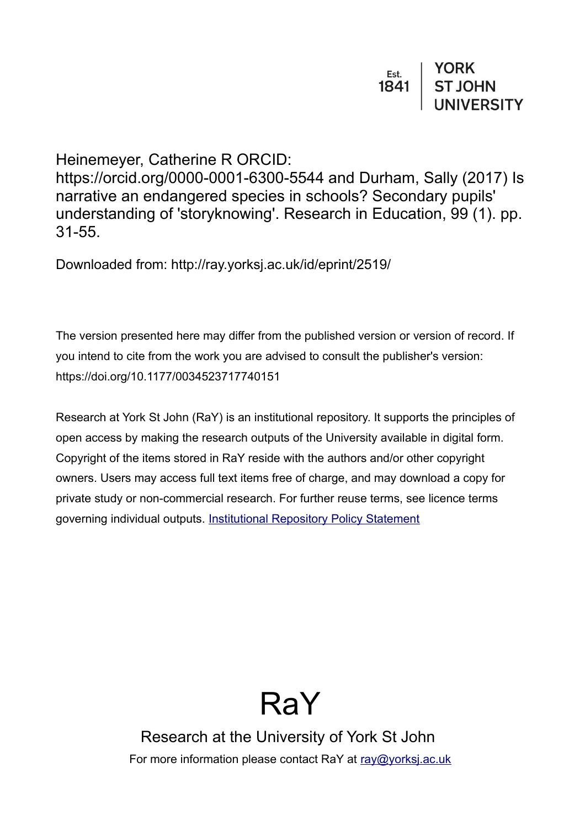Heinemeyer, Catherine R ORCID: https://orcid.org/0000-0001-6300-5544 and Durham, Sally (2017) Is narrative an endangered species in schools? Secondary pupils' understanding of 'storyknowing'. Research in Education, 99 (1). pp. 31-55.

Downloaded from: http://ray.yorksj.ac.uk/id/eprint/2519/

The version presented here may differ from the published version or version of record. If you intend to cite from the work you are advised to consult the publisher's version: https://doi.org/10.1177/0034523717740151

Research at York St John (RaY) is an institutional repository. It supports the principles of open access by making the research outputs of the University available in digital form. Copyright of the items stored in RaY reside with the authors and/or other copyright owners. Users may access full text items free of charge, and may download a copy for private study or non-commercial research. For further reuse terms, see licence terms governing individual outputs. [Institutional Repository Policy Statement](https://www.yorksj.ac.uk/ils/repository-policies/)



Research at the University of York St John For more information please contact RaY at [ray@yorksj.ac.uk](mailto:ray@yorksj.ac.uk)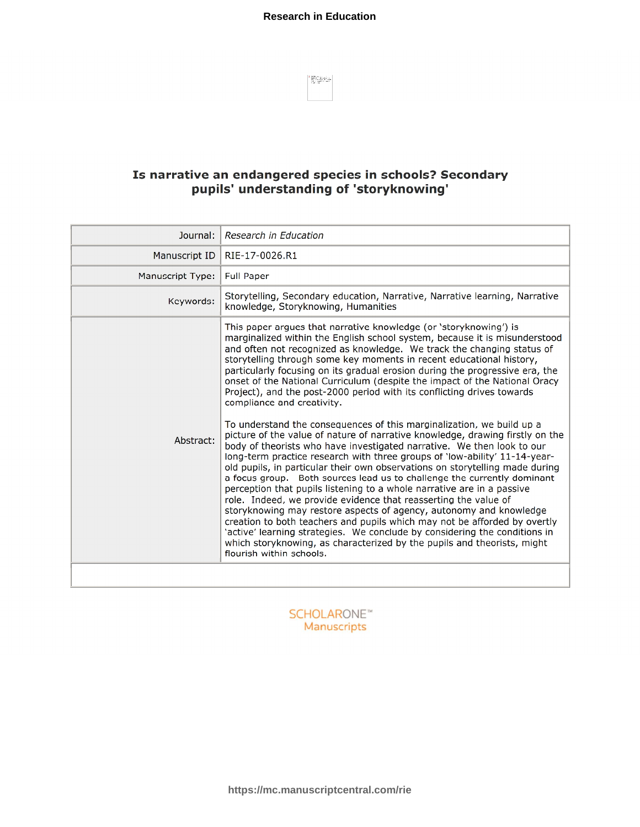# **Research in Education**



# Is narrative an endangered species in schools? Secondary pupils' understanding of 'storyknowing'

| Journal:         | Research in Education                                                                                                                                                                                                                                                                                                                                                                                                                                                                                                                                                                                                                                                                                                                                                                                                                                                                                                                                                                                                                                                                                                                                                                                                                                                                                                                                                                                                                                                                                                                      |
|------------------|--------------------------------------------------------------------------------------------------------------------------------------------------------------------------------------------------------------------------------------------------------------------------------------------------------------------------------------------------------------------------------------------------------------------------------------------------------------------------------------------------------------------------------------------------------------------------------------------------------------------------------------------------------------------------------------------------------------------------------------------------------------------------------------------------------------------------------------------------------------------------------------------------------------------------------------------------------------------------------------------------------------------------------------------------------------------------------------------------------------------------------------------------------------------------------------------------------------------------------------------------------------------------------------------------------------------------------------------------------------------------------------------------------------------------------------------------------------------------------------------------------------------------------------------|
| Manuscript ID    | RIE-17-0026.R1                                                                                                                                                                                                                                                                                                                                                                                                                                                                                                                                                                                                                                                                                                                                                                                                                                                                                                                                                                                                                                                                                                                                                                                                                                                                                                                                                                                                                                                                                                                             |
| Manuscript Type: | <b>Full Paper</b>                                                                                                                                                                                                                                                                                                                                                                                                                                                                                                                                                                                                                                                                                                                                                                                                                                                                                                                                                                                                                                                                                                                                                                                                                                                                                                                                                                                                                                                                                                                          |
| Keywords:        | Storytelling, Secondary education, Narrative, Narrative learning, Narrative<br>knowledge, Storyknowing, Humanities                                                                                                                                                                                                                                                                                                                                                                                                                                                                                                                                                                                                                                                                                                                                                                                                                                                                                                                                                                                                                                                                                                                                                                                                                                                                                                                                                                                                                         |
| Abstract:        | This paper argues that narrative knowledge (or 'storyknowing') is<br>marginalized within the English school system, because it is misunderstood<br>and often not recognized as knowledge. We track the changing status of<br>storytelling through some key moments in recent educational history,<br>particularly focusing on its gradual erosion during the progressive era, the<br>onset of the National Curriculum (despite the impact of the National Oracy<br>Project), and the post-2000 period with its conflicting drives towards<br>compliance and creativity.<br>To understand the consequences of this marginalization, we build up a<br>picture of the value of nature of narrative knowledge, drawing firstly on the<br>body of theorists who have investigated narrative. We then look to our<br>long-term practice research with three groups of 'low-ability' 11-14-year-<br>old pupils, in particular their own observations on storytelling made during<br>a focus group.  Both sources lead us to challenge the currently dominant<br>perception that pupils listening to a whole narrative are in a passive<br>role. Indeed, we provide evidence that reasserting the value of<br>storyknowing may restore aspects of agency, autonomy and knowledge<br>creation to both teachers and pupils which may not be afforded by overtly<br>'active' learning strategies. We conclude by considering the conditions in<br>which storyknowing, as characterized by the pupils and theorists, might<br>flourish within schools. |
|                  |                                                                                                                                                                                                                                                                                                                                                                                                                                                                                                                                                                                                                                                                                                                                                                                                                                                                                                                                                                                                                                                                                                                                                                                                                                                                                                                                                                                                                                                                                                                                            |

**SCHOLARONE™** Manuscripts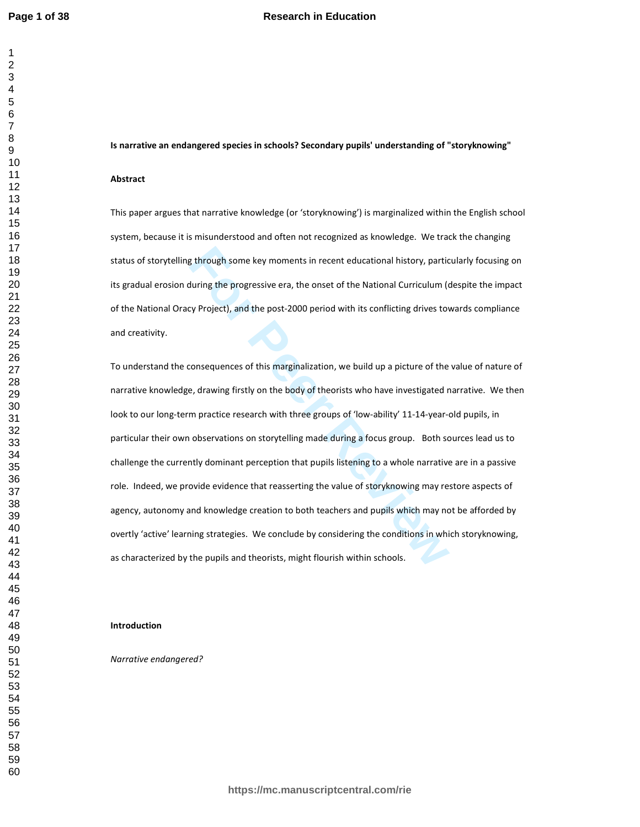**Is narrative an endangered species in schools? Secondary pupils' understanding of "storyknowing"** 

## **Abstract**

This paper argues that narrative knowledge (or 'storyknowing') is marginalized within the English school system, because it is misunderstood and often not recognized as knowledge. We track the changing status of storytelling through some key moments in recent educational history, particularly focusing on its gradual erosion during the progressive era, the onset of the National Curriculum (despite the impact of the National Oracy Project), and the post-2000 period with its conflicting drives towards compliance and creativity.

Experiment they moments in recent educational history, partic<br>
puring the progressive era, the onset of the National Curriculum (c<br>
For Project), and the post-2000 period with its conflicting drives to<br>
consequences of thi To understand the consequences of this marginalization, we build up a picture of the value of nature of narrative knowledge, drawing firstly on the body of theorists who have investigated narrative. We then look to our long-term practice research with three groups of 'low-ability' 11-14-year-old pupils, in particular their own observations on storytelling made during a focus group. Both sources lead us to challenge the currently dominant perception that pupils listening to a whole narrative are in a passive role. Indeed, we provide evidence that reasserting the value of storyknowing may restore aspects of agency, autonomy and knowledge creation to both teachers and pupils which may not be afforded by overtly 'active' learning strategies. We conclude by considering the conditions in which storyknowing, as characterized by the pupils and theorists, might flourish within schools.

## **Introduction**

#### *Narrative endangered?*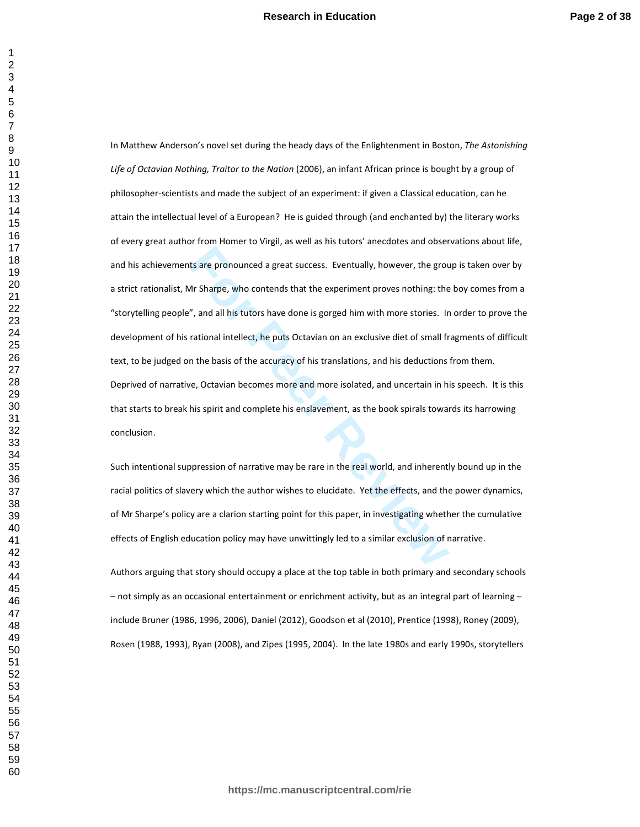Its are pronounced a great success. Eventually, however, the grout of Sharpe, who contends that the experiment proves nothing: the ", and all his tutors have done is gorged him with more stories. In rational intellect, he In Matthew Anderson's novel set during the heady days of the Enlightenment in Boston, *The Astonishing Life of Octavian Nothing, Traitor to the Nation* (2006), an infant African prince is bought by a group of philosopher-scientists and made the subject of an experiment: if given a Classical education, can he attain the intellectual level of a European? He is guided through (and enchanted by) the literary works of every great author from Homer to Virgil, as well as his tutors' anecdotes and observations about life, and his achievements are pronounced a great success. Eventually, however, the group is taken over by a strict rationalist, Mr Sharpe, who contends that the experiment proves nothing: the boy comes from a "storytelling people", and all his tutors have done is gorged him with more stories. In order to prove the development of his rational intellect, he puts Octavian on an exclusive diet of small fragments of difficult text, to be judged on the basis of the accuracy of his translations, and his deductions from them. Deprived of narrative, Octavian becomes more and more isolated, and uncertain in his speech. It is this that starts to break his spirit and complete his enslavement, as the book spirals towards its harrowing conclusion.

Such intentional suppression of narrative may be rare in the real world, and inherently bound up in the racial politics of slavery which the author wishes to elucidate. Yet the effects, and the power dynamics, of Mr Sharpe's policy are a clarion starting point for this paper, in investigating whether the cumulative effects of English education policy may have unwittingly led to a similar exclusion of narrative.

Authors arguing that story should occupy a place at the top table in both primary and secondary schools – not simply as an occasional entertainment or enrichment activity, but as an integral part of learning ̶ include Bruner (1986, 1996, 2006), Daniel (2012), Goodson et al (2010), Prentice (1998), Roney (2009), Rosen (1988, 1993), Ryan (2008), and Zipes (1995, 2004). In the late 1980s and early 1990s, storytellers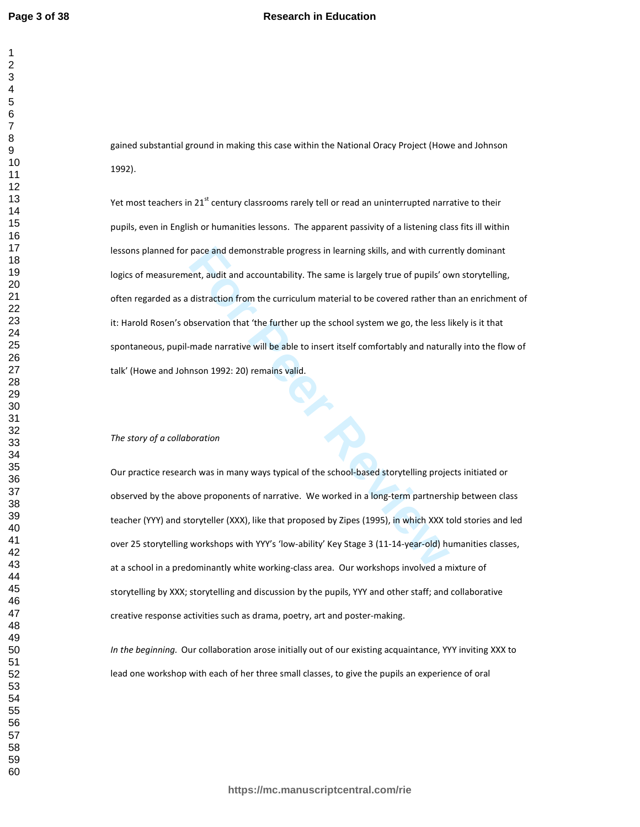# **Research in Education**

gained substantial ground in making this case within the National Oracy Project (Howe and Johnson 1992).

pace and demonstrable progress in learning skills, and with curre<br>ent, audit and accountability. The same is largely true of pupils' or<br>distraction from the curriculum material to be covered rather tha<br>bservation that 'the Yet most teachers in 21<sup>st</sup> century classrooms rarely tell or read an uninterrupted narrative to their pupils, even in English or humanities lessons. The apparent passivity of a listening class fits ill within lessons planned for pace and demonstrable progress in learning skills, and with currently dominant logics of measurement, audit and accountability. The same is largely true of pupils' own storytelling, often regarded as a distraction from the curriculum material to be covered rather than an enrichment of it: Harold Rosen's observation that 'the further up the school system we go, the less likely is it that spontaneous, pupil-made narrative will be able to insert itself comfortably and naturally into the flow of talk' (Howe and Johnson 1992: 20) remains valid.

#### *The story of a collaboration*

Our practice research was in many ways typical of the school-based storytelling projects initiated or observed by the above proponents of narrative. We worked in a long-term partnership between class teacher (YYY) and storyteller (XXX), like that proposed by Zipes (1995), in which XXX told stories and led over 25 storytelling workshops with YYY's 'low-ability' Key Stage 3 (11-14-year-old) humanities classes, at a school in a predominantly white working-class area. Our workshops involved a mixture of storytelling by XXX; storytelling and discussion by the pupils, YYY and other staff; and collaborative creative response activities such as drama, poetry, art and poster-making.

*In the beginning.* Our collaboration arose initially out of our existing acquaintance, YYY inviting XXX to lead one workshop with each of her three small classes, to give the pupils an experience of oral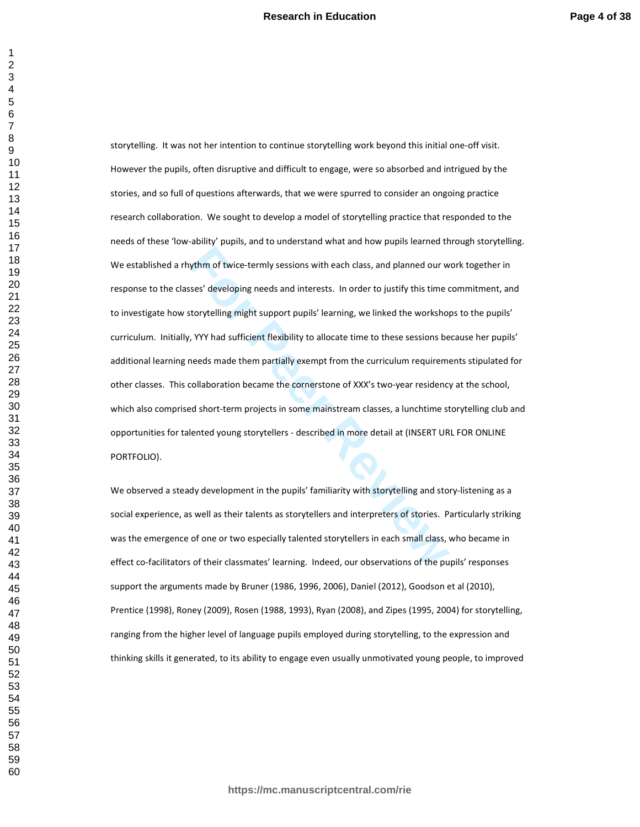ythm of twice-termly sessions with each class, and planned our w<br>ses' developing needs and interests. In order to justify this time c<br>storytelling might support pupils' learning, we linked the workshop<br>, YYY had sufficient storytelling. It was not her intention to continue storytelling work beyond this initial one-off visit. However the pupils, often disruptive and difficult to engage, were so absorbed and intrigued by the stories, and so full of questions afterwards, that we were spurred to consider an ongoing practice research collaboration. We sought to develop a model of storytelling practice that responded to the needs of these 'low-ability' pupils, and to understand what and how pupils learned through storytelling. We established a rhythm of twice-termly sessions with each class, and planned our work together in response to the classes' developing needs and interests. In order to justify this time commitment, and to investigate how storytelling might support pupils' learning, we linked the workshops to the pupils' curriculum. Initially, YYY had sufficient flexibility to allocate time to these sessions because her pupils' additional learning needs made them partially exempt from the curriculum requirements stipulated for other classes. This collaboration became the cornerstone of XXX's two-year residency at the school, which also comprised short-term projects in some mainstream classes, a lunchtime storytelling club and opportunities for talented young storytellers - described in more detail at (INSERT URL FOR ONLINE PORTFOLIO).

We observed a steady development in the pupils' familiarity with storytelling and story-listening as a social experience, as well as their talents as storytellers and interpreters of stories. Particularly striking was the emergence of one or two especially talented storytellers in each small class, who became in effect co-facilitators of their classmates' learning. Indeed, our observations of the pupils' responses support the arguments made by Bruner (1986, 1996, 2006), Daniel (2012), Goodson et al (2010), Prentice (1998), Roney (2009), Rosen (1988, 1993), Ryan (2008), and Zipes (1995, 2004) for storytelling, ranging from the higher level of language pupils employed during storytelling, to the expression and thinking skills it generated, to its ability to engage even usually unmotivated young people, to improved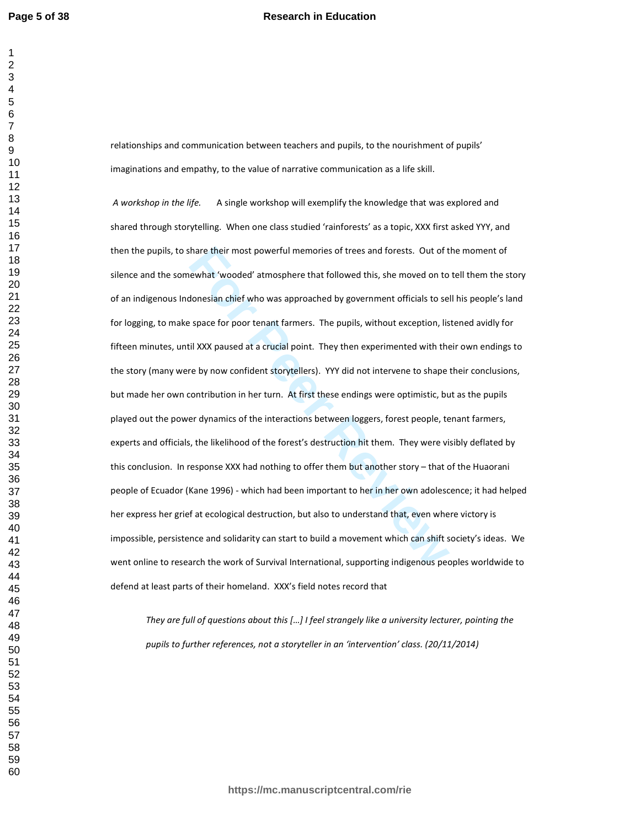# **Research in Education**

relationships and communication between teachers and pupils, to the nourishment of pupils' imaginations and empathy, to the value of narrative communication as a life skill.

thare their most powerful memories of trees and forests. Out of t<br>ewhat 'wooded' atmosphere that followed this, she moved on to<br>donesian chief who was approached by government officials to se<br>space for poor tenant farmers.  *A workshop in the life.* A single workshop will exemplify the knowledge that was explored and shared through storytelling. When one class studied 'rainforests' as a topic, XXX first asked YYY, and then the pupils, to share their most powerful memories of trees and forests. Out of the moment of silence and the somewhat 'wooded' atmosphere that followed this, she moved on to tell them the story of an indigenous Indonesian chief who was approached by government officials to sell his people's land for logging, to make space for poor tenant farmers. The pupils, without exception, listened avidly for fifteen minutes, until XXX paused at a crucial point. They then experimented with their own endings to the story (many were by now confident storytellers). YYY did not intervene to shape their conclusions, but made her own contribution in her turn. At first these endings were optimistic, but as the pupils played out the power dynamics of the interactions between loggers, forest people, tenant farmers, experts and officials, the likelihood of the forest's destruction hit them. They were visibly deflated by this conclusion. In response XXX had nothing to offer them but another story – that of the Huaorani people of Ecuador (Kane 1996) - which had been important to her in her own adolescence; it had helped her express her grief at ecological destruction, but also to understand that, even where victory is impossible, persistence and solidarity can start to build a movement which can shift society's ideas. We went online to research the work of Survival International, supporting indigenous peoples worldwide to defend at least parts of their homeland. XXX's field notes record that

*They are full of questions about this […] I feel strangely like a university lecturer, pointing the pupils to further references, not a storyteller in an 'intervention' class. (20/11/2014)*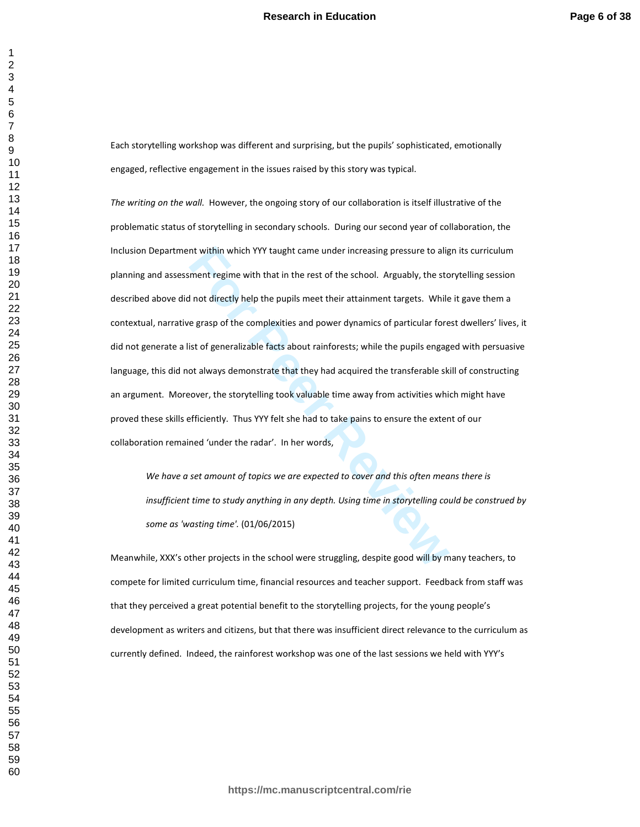Each storytelling workshop was different and surprising, but the pupils' sophisticated, emotionally engaged, reflective engagement in the issues raised by this story was typical.

Interaction which YYY taught came under increasing pressure to alignment regime with that in the rest of the school. Arguably, the sto alignment regime with that in the rest of the school. Arguably, the sto and the perfect *The writing on the wall.* However, the ongoing story of our collaboration is itself illustrative of the problematic status of storytelling in secondary schools. During our second year of collaboration, the Inclusion Department within which YYY taught came under increasing pressure to align its curriculum planning and assessment regime with that in the rest of the school. Arguably, the storytelling session described above did not directly help the pupils meet their attainment targets. While it gave them a contextual, narrative grasp of the complexities and power dynamics of particular forest dwellers' lives, it did not generate a list of generalizable facts about rainforests; while the pupils engaged with persuasive language, this did not always demonstrate that they had acquired the transferable skill of constructing an argument. Moreover, the storytelling took valuable time away from activities which might have proved these skills efficiently. Thus YYY felt she had to take pains to ensure the extent of our collaboration remained 'under the radar'. In her words,

*We have a set amount of topics we are expected to cover and this often means there is insufficient time to study anything in any depth. Using time in storytelling could be construed by some as 'wasting time'.* (01/06/2015)

Meanwhile, XXX's other projects in the school were struggling, despite good will by many teachers, to compete for limited curriculum time, financial resources and teacher support. Feedback from staff was that they perceived a great potential benefit to the storytelling projects, for the young people's development as writers and citizens, but that there was insufficient direct relevance to the curriculum as currently defined. Indeed, the rainforest workshop was one of the last sessions we held with YYY's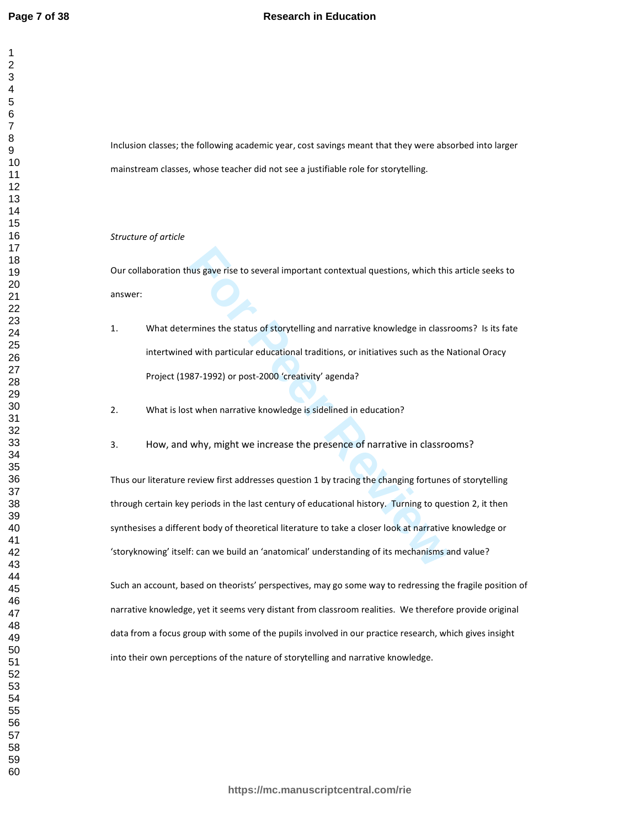Inclusion classes; the following academic year, cost savings meant that they were absorbed into larger mainstream classes, whose teacher did not see a justifiable role for storytelling.

## *Structure of article*

Our collaboration thus gave rise to several important contextual questions, which this article seeks to answer:

- 1. What determines the status of storytelling and narrative knowledge in classrooms? Is its fate intertwined with particular educational traditions, or initiatives such as the National Oracy Project (1987-1992) or post-2000 'creativity' agenda?
- 2. What is lost when narrative knowledge is sidelined in education?
- 3. How, and why, might we increase the presence of narrative in classrooms?

Interactions, which this<br>
Interactions, which the status of storytelling and narrative knowledge in class<br> **For Peer Review All and Status** of storytelling and narrative knowledge in class<br>
Interactional traditions, or ini Thus our literature review first addresses question 1 by tracing the changing fortunes of storytelling through certain key periods in the last century of educational history. Turning to question 2, it then synthesises a different body of theoretical literature to take a closer look at narrative knowledge or 'storyknowing' itself: can we build an 'anatomical' understanding of its mechanisms and value?

Such an account, based on theorists' perspectives, may go some way to redressing the fragile position of narrative knowledge, yet it seems very distant from classroom realities. We therefore provide original data from a focus group with some of the pupils involved in our practice research, which gives insight into their own perceptions of the nature of storytelling and narrative knowledge.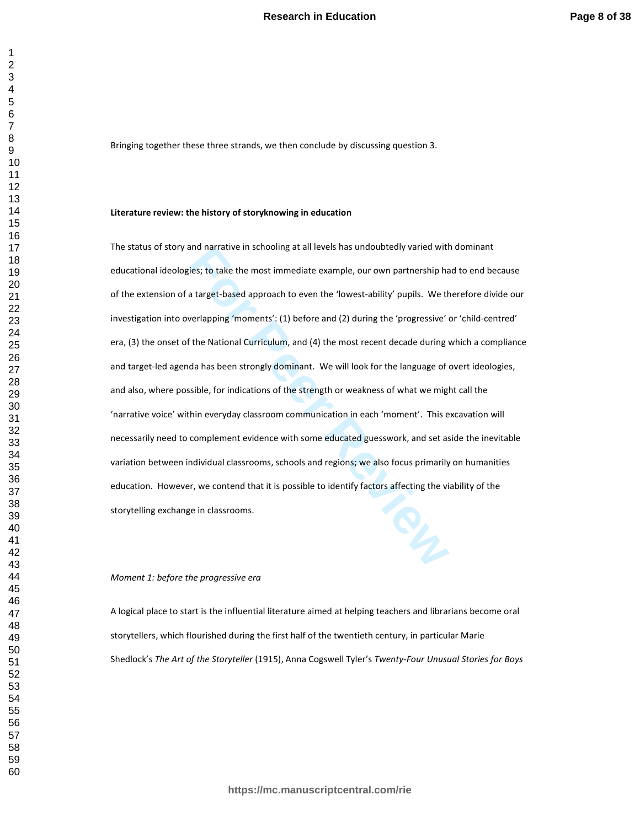Bringing together these three strands, we then conclude by discussing question 3.

#### **Literature review: the history of storyknowing in education**

and narrative in schooling at all levels has undoubtedly varied with<br>lies; to take the most immediate example, our own partnership ha<br>a target-based approach to even the 'lowest-ability' pupils. We the<br>verlapping 'moments' The status of story and narrative in schooling at all levels has undoubtedly varied with dominant educational ideologies; to take the most immediate example, our own partnership had to end because of the extension of a target-based approach to even the 'lowest-ability' pupils. We therefore divide our investigation into overlapping 'moments': (1) before and (2) during the 'progressive' or 'child-centred' era, (3) the onset of the National Curriculum, and (4) the most recent decade during which a compliance and target-led agenda has been strongly dominant. We will look for the language of overt ideologies, and also, where possible, for indications of the strength or weakness of what we might call the 'narrative voice' within everyday classroom communication in each 'moment'. This excavation will necessarily need to complement evidence with some educated guesswork, and set aside the inevitable variation between individual classrooms, schools and regions; we also focus primarily on humanities education. However, we contend that it is possible to identify factors affecting the viability of the storytelling exchange in classrooms.

#### *Moment 1: before the progressive era*

A logical place to start is the influential literature aimed at helping teachers and librarians become oral storytellers, which flourished during the first half of the twentieth century, in particular Marie Shedlock's *The Art of the Storyteller* (1915), Anna Cogswell Tyler's *Twenty-Four Unusual Stories for Boys*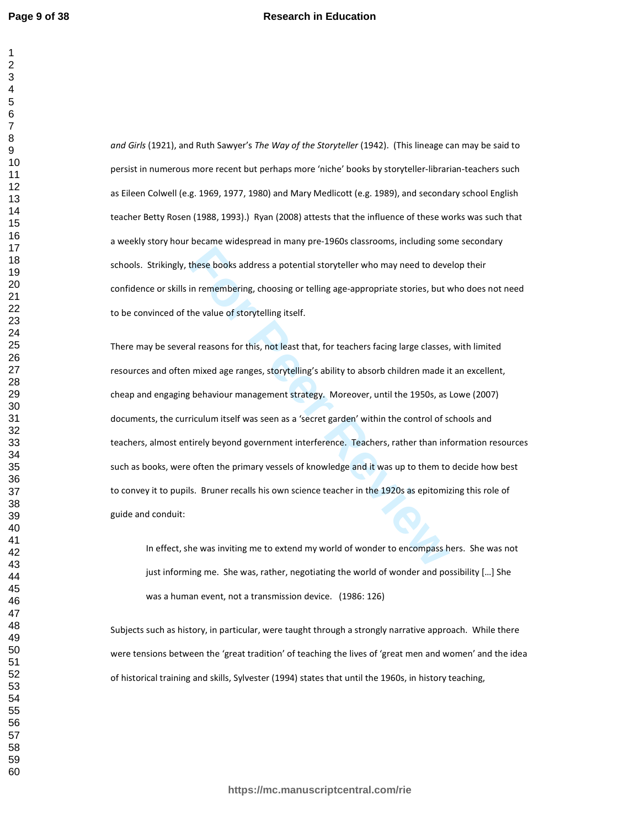*and Girls* (1921), and Ruth Sawyer's *The Way of the Storyteller* (1942). (This lineage can may be said to persist in numerous more recent but perhaps more 'niche' books by storyteller-librarian-teachers such as Eileen Colwell (e.g. 1969, 1977, 1980) and Mary Medlicott (e.g. 1989), and secondary school English teacher Betty Rosen (1988, 1993).) Ryan (2008) attests that the influence of these works was such that a weekly story hour became widespread in many pre-1960s classrooms, including some secondary schools. Strikingly, these books address a potential storyteller who may need to develop their confidence or skills in remembering, choosing or telling age-appropriate stories, but who does not need to be convinced of the value of storytelling itself.

Finder these books address a potential storyteller who may need to devertin remembering, choosing or telling age-appropriate stories, but whe value of storytelling itself.<br>
For Peer Reviewald and the value of storytelling There may be several reasons for this, not least that, for teachers facing large classes, with limited resources and often mixed age ranges, storytelling's ability to absorb children made it an excellent, cheap and engaging behaviour management strategy. Moreover, until the 1950s, as Lowe (2007) documents, the curriculum itself was seen as a 'secret garden' within the control of schools and teachers, almost entirely beyond government interference. Teachers, rather than information resources such as books, were often the primary vessels of knowledge and it was up to them to decide how best to convey it to pupils. Bruner recalls his own science teacher in the 1920s as epitomizing this role of guide and conduit:

In effect, she was inviting me to extend my world of wonder to encompass hers. She was not just informing me. She was, rather, negotiating the world of wonder and possibility […] She was a human event, not a transmission device. (1986: 126)

Subjects such as history, in particular, were taught through a strongly narrative approach. While there were tensions between the 'great tradition' of teaching the lives of 'great men and women' and the idea of historical training and skills, Sylvester (1994) states that until the 1960s, in history teaching,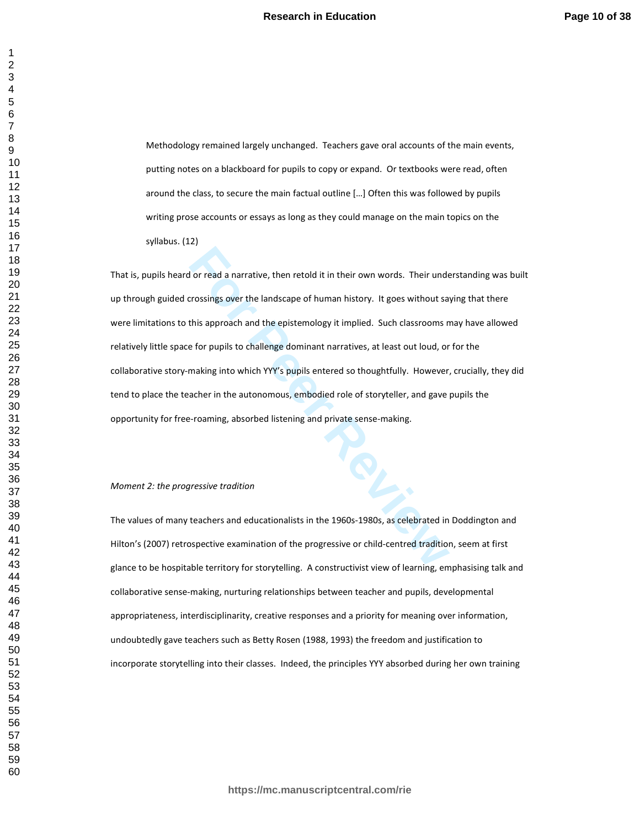Methodology remained largely unchanged. Teachers gave oral accounts of the main events, putting notes on a blackboard for pupils to copy or expand. Or textbooks were read, often around the class, to secure the main factual outline […] Often this was followed by pupils writing prose accounts or essays as long as they could manage on the main topics on the syllabus. (12)

**Follow The Transfer Review of Transfer Properties Americans**<br> **For Properties approach and the epistemology it implied.** Such classrooms n<br> **For pupils to challenge dominant narratives, at least out loud, or**<br> **For pupils** That is, pupils heard or read a narrative, then retold it in their own words. Their understanding was built up through guided crossings over the landscape of human history. It goes without saying that there were limitations to this approach and the epistemology it implied. Such classrooms may have allowed relatively little space for pupils to challenge dominant narratives, at least out loud, or for the collaborative story-making into which YYY's pupils entered so thoughtfully. However, crucially, they did tend to place the teacher in the autonomous, embodied role of storyteller, and gave pupils the opportunity for free-roaming, absorbed listening and private sense-making.

#### *Moment 2: the progressive tradition*

The values of many teachers and educationalists in the 1960s-1980s, as celebrated in Doddington and Hilton's (2007) retrospective examination of the progressive or child-centred tradition, seem at first glance to be hospitable territory for storytelling. A constructivist view of learning, emphasising talk and collaborative sense-making, nurturing relationships between teacher and pupils, developmental appropriateness, interdisciplinarity, creative responses and a priority for meaning over information, undoubtedly gave teachers such as Betty Rosen (1988, 1993) the freedom and justification to incorporate storytelling into their classes. Indeed, the principles YYY absorbed during her own training

 $\mathbf{1}$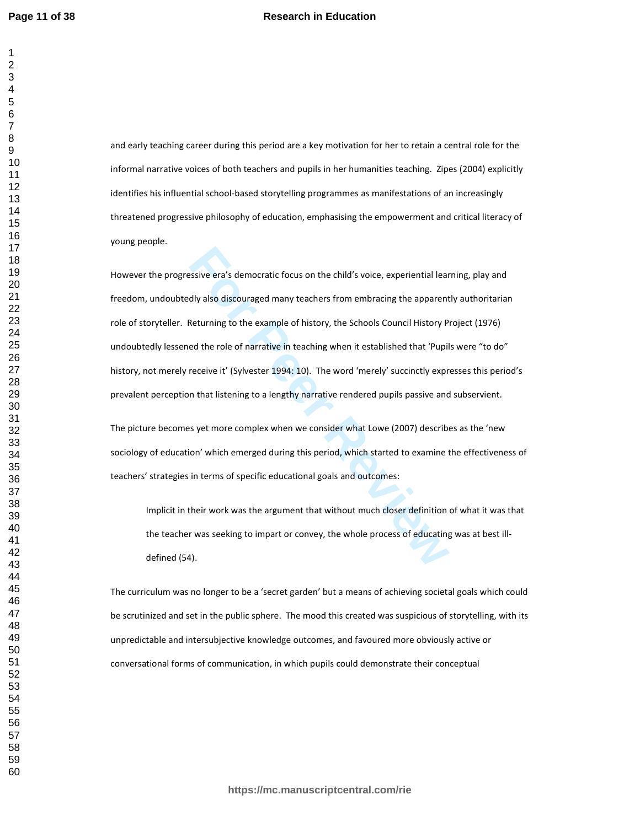$\mathbf{1}$  $\overline{2}$ 

and early teaching career during this period are a key motivation for her to retain a central role for the informal narrative voices of both teachers and pupils in her humanities teaching. Zipes (2004) explicitly identifies his influential school-based storytelling programmes as manifestations of an increasingly threatened progressive philosophy of education, emphasising the empowerment and critical literacy of young people.

Example 18 and the child's voice, experiential lear<br> **Example 18 and dly** also discouraged many teachers from embracing the apparent<br> **Returning to the example of history**, the Schools Council History Pied<br>
the role of nar However the progressive era's democratic focus on the child's voice, experiential learning, play and freedom, undoubtedly also discouraged many teachers from embracing the apparently authoritarian role of storyteller. Returning to the example of history, the Schools Council History Project (1976) undoubtedly lessened the role of narrative in teaching when it established that 'Pupils were "to do" history, not merely receive it' (Sylvester 1994: 10). The word 'merely' succinctly expresses this period's prevalent perception that listening to a lengthy narrative rendered pupils passive and subservient.

The picture becomes yet more complex when we consider what Lowe (2007) describes as the 'new sociology of education' which emerged during this period, which started to examine the effectiveness of teachers' strategies in terms of specific educational goals and outcomes:

Implicit in their work was the argument that without much closer definition of what it was that the teacher was seeking to impart or convey, the whole process of educating was at best illdefined (54).

The curriculum was no longer to be a 'secret garden' but a means of achieving societal goals which could be scrutinized and set in the public sphere. The mood this created was suspicious of storytelling, with its unpredictable and intersubjective knowledge outcomes, and favoured more obviously active or conversational forms of communication, in which pupils could demonstrate their conceptual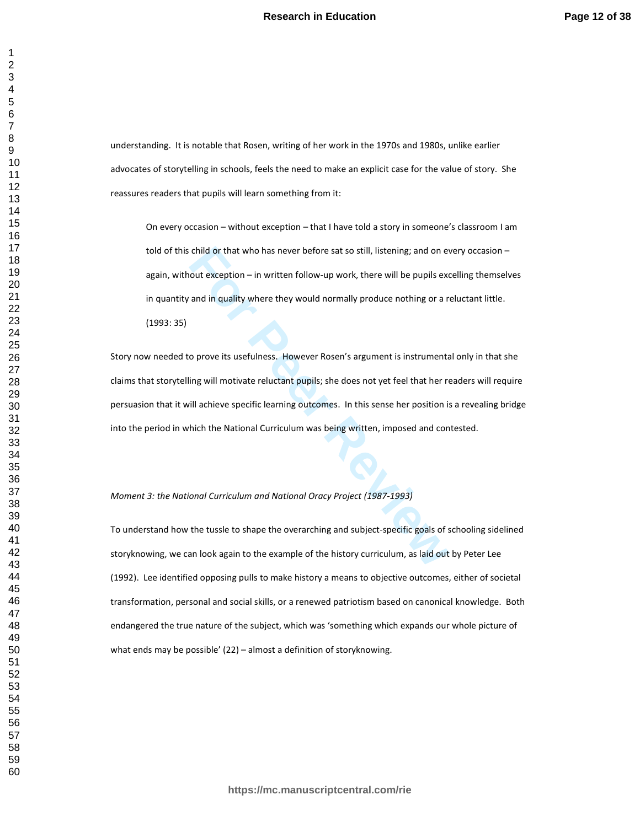understanding. It is notable that Rosen, writing of her work in the 1970s and 1980s, unlike earlier advocates of storytelling in schools, feels the need to make an explicit case for the value of story. She reassures readers that pupils will learn something from it:

child or that who has never before sat so still, listening; and on every exerption – in written follow-up work, there will be pupils exerption – in written follow-up work, there will be pupils exerption – in written follow On every occasion – without exception – that I have told a story in someone's classroom I am told of this child or that who has never before sat so still, listening; and on every occasion – again, without exception – in written follow-up work, there will be pupils excelling themselves in quantity and in quality where they would normally produce nothing or a reluctant little. (1993: 35)

Story now needed to prove its usefulness. However Rosen's argument is instrumental only in that she claims that storytelling will motivate reluctant pupils; she does not yet feel that her readers will require persuasion that it will achieve specific learning outcomes. In this sense her position is a revealing bridge into the period in which the National Curriculum was being written, imposed and contested.

#### *Moment 3: the National Curriculum and National Oracy Project (1987-1993)*

To understand how the tussle to shape the overarching and subject-specific goals of schooling sidelined storyknowing, we can look again to the example of the history curriculum, as laid out by Peter Lee (1992). Lee identified opposing pulls to make history a means to objective outcomes, either of societal transformation, personal and social skills, or a renewed patriotism based on canonical knowledge. Both endangered the true nature of the subject, which was 'something which expands our whole picture of what ends may be possible' (22) – almost a definition of storyknowing.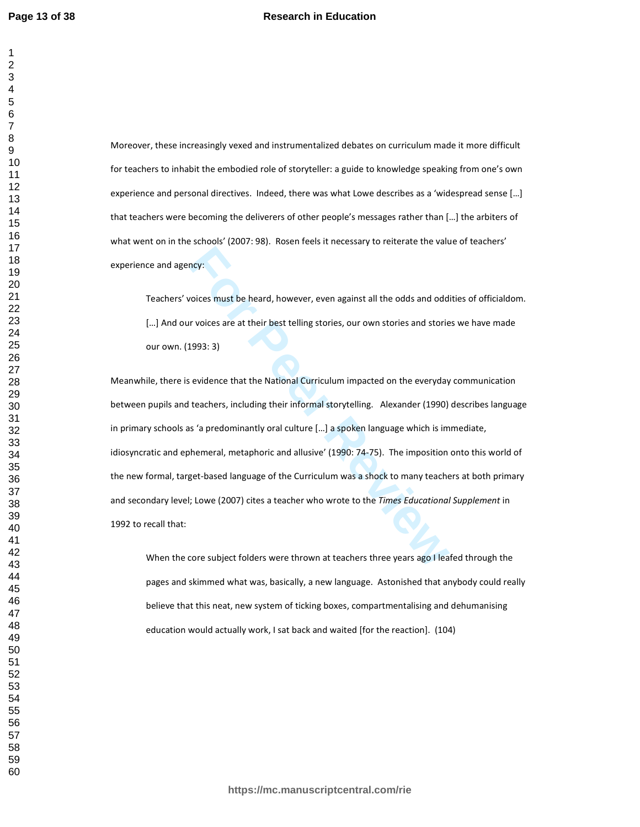Moreover, these increasingly vexed and instrumentalized debates on curriculum made it more difficult for teachers to inhabit the embodied role of storyteller: a guide to knowledge speaking from one's own experience and personal directives. Indeed, there was what Lowe describes as a 'widespread sense […] that teachers were becoming the deliverers of other people's messages rather than […] the arbiters of what went on in the schools' (2007: 98). Rosen feels it necessary to reiterate the value of teachers' experience and agency:

Teachers' voices must be heard, however, even against all the odds and oddities of officialdom. [...] And our voices are at their best telling stories, our own stories and stories we have made our own. (1993: 3)

rocies must be heard, however, even against all the odds and odd<br> **For Procies are at their best telling stories**, our own stories and storie<br> **FORM: FORM: FORM: FORM: FORM: FORM: FORM: FORM: FORM: FORM:** Meanwhile, there is evidence that the National Curriculum impacted on the everyday communication between pupils and teachers, including their informal storytelling. Alexander (1990) describes language in primary schools as 'a predominantly oral culture […] a spoken language which is immediate, idiosyncratic and ephemeral, metaphoric and allusive' (1990: 74-75). The imposition onto this world of the new formal, target-based language of the Curriculum was a shock to many teachers at both primary and secondary level; Lowe (2007) cites a teacher who wrote to the *Times Educational Supplement* in 1992 to recall that:

When the core subject folders were thrown at teachers three years ago I leafed through the pages and skimmed what was, basically, a new language. Astonished that anybody could really believe that this neat, new system of ticking boxes, compartmentalising and dehumanising education would actually work, I sat back and waited [for the reaction]. (104)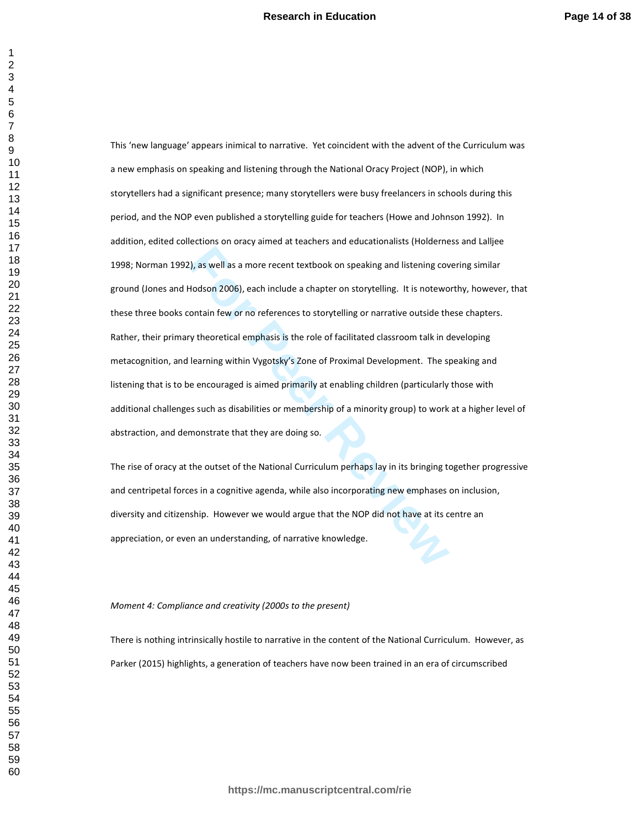**Fourthally as a more recent textbook on speaking and listening cov**<br>**For Peer Review and SOO6**), each include a chapter on storytelling. It is notewo<br>ontain few or no references to storytelling or narrative outside th<br>y t This 'new language' appears inimical to narrative. Yet coincident with the advent of the Curriculum was a new emphasis on speaking and listening through the National Oracy Project (NOP), in which storytellers had a significant presence; many storytellers were busy freelancers in schools during this period, and the NOP even published a storytelling guide for teachers (Howe and Johnson 1992). In addition, edited collections on oracy aimed at teachers and educationalists (Holderness and Lalljee 1998; Norman 1992), as well as a more recent textbook on speaking and listening covering similar ground (Jones and Hodson 2006), each include a chapter on storytelling. It is noteworthy, however, that these three books contain few or no references to storytelling or narrative outside these chapters. Rather, their primary theoretical emphasis is the role of facilitated classroom talk in developing metacognition, and learning within Vygotsky's Zone of Proximal Development. The speaking and listening that is to be encouraged is aimed primarily at enabling children (particularly those with additional challenges such as disabilities or membership of a minority group) to work at a higher level of abstraction, and demonstrate that they are doing so.

The rise of oracy at the outset of the National Curriculum perhaps lay in its bringing together progressive and centripetal forces in a cognitive agenda, while also incorporating new emphases on inclusion, diversity and citizenship. However we would argue that the NOP did not have at its centre an appreciation, or even an understanding, of narrative knowledge.

#### *Moment 4: Compliance and creativity (2000s to the present)*

There is nothing intrinsically hostile to narrative in the content of the National Curriculum. However, as Parker (2015) highlights, a generation of teachers have now been trained in an era of circumscribed

 $\mathbf{1}$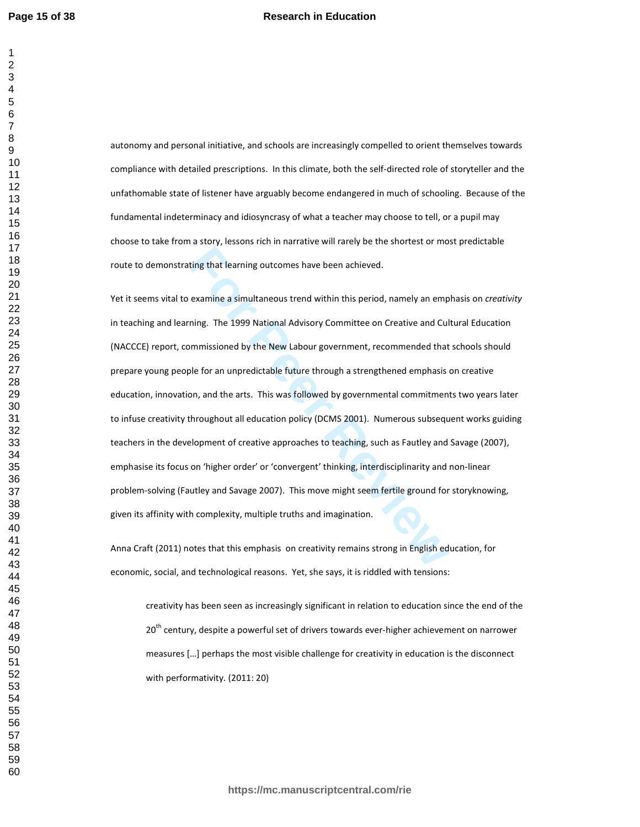autonomy and personal initiative, and schools are increasingly compelled to orient themselves towards compliance with detailed prescriptions. In this climate, both the self-directed role of storyteller and the unfathomable state of listener have arguably become endangered in much of schooling. Because of the fundamental indeterminacy and idiosyncrasy of what a teacher may choose to tell, or a pupil may choose to take from a story, lessons rich in narrative will rarely be the shortest or most predictable route to demonstrating that learning outcomes have been achieved.

ting that learning outcomes have been achieved.<br>
examine a simultaneous trend within this period, namely an emp<br>
ning. The 1999 National Advisory Committee on Creative and Cul<br>
mmissioned by the New Labour government, reco Yet it seems vital to examine a simultaneous trend within this period, namely an emphasis on *creativity* in teaching and learning. The 1999 National Advisory Committee on Creative and Cultural Education (NACCCE) report, commissioned by the New Labour government, recommended that schools should prepare young people for an unpredictable future through a strengthened emphasis on creative education, innovation, and the arts. This was followed by governmental commitments two years later to infuse creativity throughout all education policy (DCMS 2001). Numerous subsequent works guiding teachers in the development of creative approaches to teaching, such as Fautley and Savage (2007), emphasise its focus on 'higher order' or 'convergent' thinking, interdisciplinarity and non-linear problem-solving (Fautley and Savage 2007). This move might seem fertile ground for storyknowing, given its affinity with complexity, multiple truths and imagination.

Anna Craft (2011) notes that this emphasis on creativity remains strong in English education, for economic, social, and technological reasons. Yet, she says, it is riddled with tensions:

creativity has been seen as increasingly significant in relation to education since the end of the 20<sup>th</sup> century, despite a powerful set of drivers towards ever-higher achievement on narrower measures […] perhaps the most visible challenge for creativity in education is the disconnect with performativity. (2011: 20)

**https://mc.manuscriptcentral.com/rie**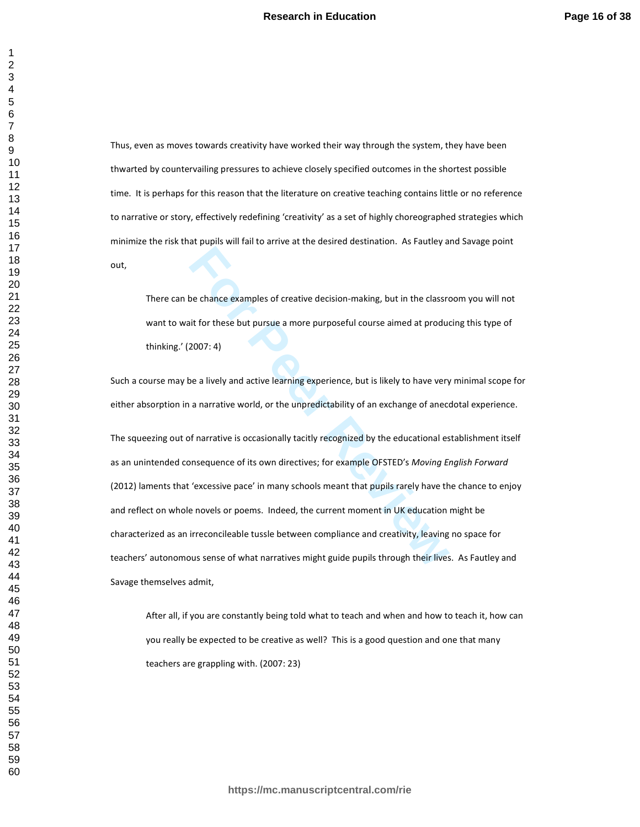Thus, even as moves towards creativity have worked their way through the system, they have been thwarted by countervailing pressures to achieve closely specified outcomes in the shortest possible time. It is perhaps for this reason that the literature on creative teaching contains little or no reference to narrative or story, effectively redefining 'creativity' as a set of highly choreographed strategies which minimize the risk that pupils will fail to arrive at the desired destination. As Fautley and Savage point out,

There can be chance examples of creative decision-making, but in the classroom you will not want to wait for these but pursue a more purposeful course aimed at producing this type of thinking.' (2007: 4)

Such a course may be a lively and active learning experience, but is likely to have very minimal scope for either absorption in a narrative world, or the unpredictability of an exchange of anecdotal experience.

**Examples of creative decision-making, but in the classrelit for these but pursue a more purposeful course aimed at production 2007: 4)**<br> **For Peer Reviewal Algerian and a stream in the classrelity of an exchange of anecd** The squeezing out of narrative is occasionally tacitly recognized by the educational establishment itself as an unintended consequence of its own directives; for example OFSTED's *Moving English Forward*  (2012) laments that 'excessive pace' in many schools meant that pupils rarely have the chance to enjoy and reflect on whole novels or poems. Indeed, the current moment in UK education might be characterized as an irreconcileable tussle between compliance and creativity, leaving no space for teachers' autonomous sense of what narratives might guide pupils through their lives. As Fautley and Savage themselves admit,

After all, if you are constantly being told what to teach and when and how to teach it, how can you really be expected to be creative as well? This is a good question and one that many teachers are grappling with. (2007: 23)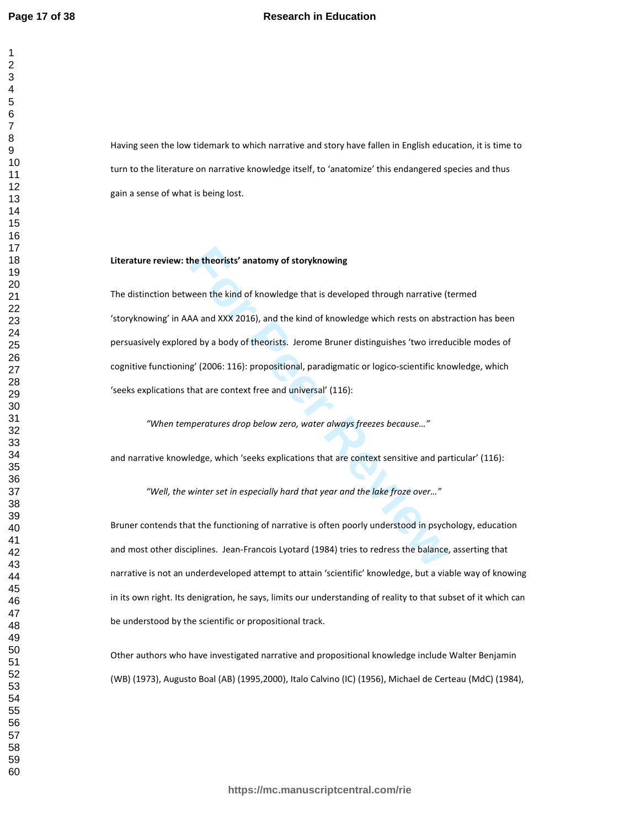Having seen the low tidemark to which narrative and story have fallen in English education, it is time to turn to the literature on narrative knowledge itself, to 'anatomize' this endangered species and thus gain a sense of what is being lost.

#### **Literature review: the theorists' anatomy of storyknowing**

**he theorists' anatomy of storyknowing**<br>
ween the kind of knowledge that is developed through narrative (t<br>
AA and XXX 2016), and the kind of knowledge which rests on abstr<br>
ed by a body of theorists. Jerome Bruner disting The distinction between the kind of knowledge that is developed through narrative (termed 'storyknowing' in AAA and XXX 2016), and the kind of knowledge which rests on abstraction has been persuasively explored by a body of theorists. Jerome Bruner distinguishes 'two irreducible modes of cognitive functioning' (2006: 116): propositional, paradigmatic or logico-scientific knowledge, which 'seeks explications that are context free and universal' (116):

*"When temperatures drop below zero, water always freezes because…"*

and narrative knowledge, which 'seeks explications that are context sensitive and particular' (116):

*"Well, the winter set in especially hard that year and the lake froze over…"*

Bruner contends that the functioning of narrative is often poorly understood in psychology, education and most other disciplines. Jean-Francois Lyotard (1984) tries to redress the balance, asserting that narrative is not an underdeveloped attempt to attain 'scientific' knowledge, but a viable way of knowing in its own right. Its denigration, he says, limits our understanding of reality to that subset of it which can be understood by the scientific or propositional track.

Other authors who have investigated narrative and propositional knowledge include Walter Benjamin (WB) (1973), Augusto Boal (AB) (1995,2000), Italo Calvino (IC) (1956), Michael de Certeau (MdC) (1984),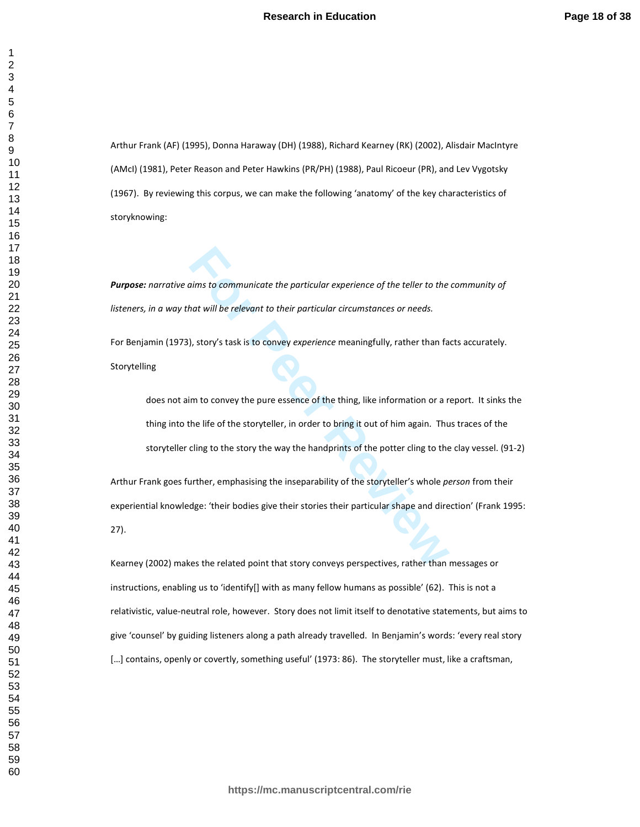Arthur Frank (AF) (1995), Donna Haraway (DH) (1988), Richard Kearney (RK) (2002), Alisdair MacIntyre (AMcI) (1981), Peter Reason and Peter Hawkins (PR/PH) (1988), Paul Ricoeur (PR), and Lev Vygotsky (1967). By reviewing this corpus, we can make the following 'anatomy' of the key characteristics of storyknowing:

*Purpose: narrative aims to communicate the particular experience of the teller to the community of listeners, in a way that will be relevant to their particular circumstances or needs.* 

For Benjamin (1973), story's task is to convey *experience* meaningfully, rather than facts accurately. **Storytelling** 

raims to communicate the particular experience of the teller to the<br>hat will be relevant to their particular circumstances or needs.<br>), story's task is to convey experience meaningfully, rather than fa<br>im to convey the pur does not aim to convey the pure essence of the thing, like information or a report. It sinks the thing into the life of the storyteller, in order to bring it out of him again. Thus traces of the storyteller cling to the story the way the handprints of the potter cling to the clay vessel. (91-2)

Arthur Frank goes further, emphasising the inseparability of the storyteller's whole *person* from their experiential knowledge: 'their bodies give their stories their particular shape and direction' (Frank 1995: 27).

Kearney (2002) makes the related point that story conveys perspectives, rather than messages or instructions, enabling us to 'identify[] with as many fellow humans as possible' (62). This is not a relativistic, value-neutral role, however. Story does not limit itself to denotative statements, but aims to give 'counsel' by guiding listeners along a path already travelled. In Benjamin's words: 'every real story […] contains, openly or covertly, something useful' (1973: 86). The storyteller must, like a craftsman,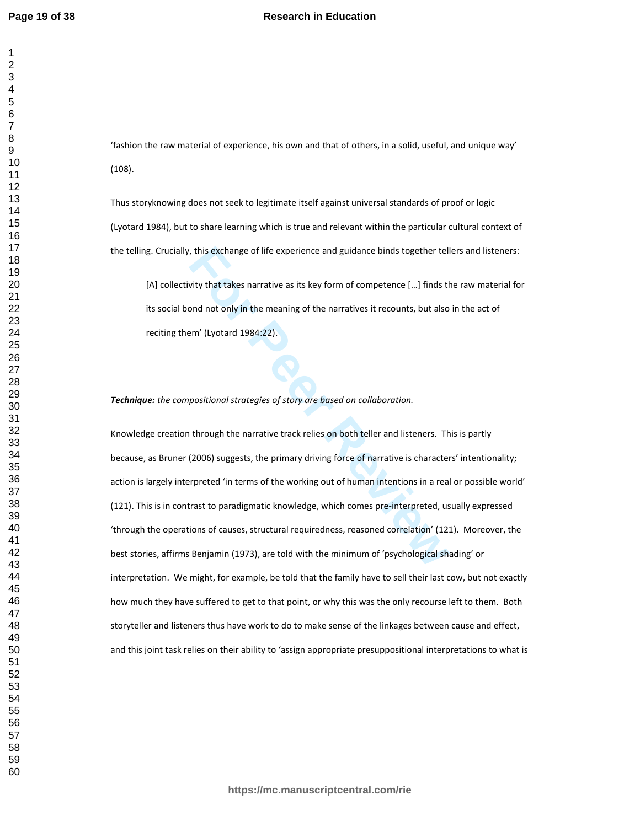$\mathbf{1}$  $\overline{2}$ 

# **Research in Education**

'fashion the raw material of experience, his own and that of others, in a solid, useful, and unique way' (108).

Thus storyknowing does not seek to legitimate itself against universal standards of proof or logic (Lyotard 1984), but to share learning which is true and relevant within the particular cultural context of the telling. Crucially, this exchange of life experience and guidance binds together tellers and listeners:

[A] collectivity that takes narrative as its key form of competence […] finds the raw material for its social bond not only in the meaning of the narratives it recounts, but also in the act of reciting them' (Lyotard 1984:22).

*Technique: the compositional strategies of story are based on collaboration.* 

this exchange of life experience and guidance binds together tell<br>
Mity that takes narrative as its key form of competence [...] finds the<br>
position of only in the meaning of the narratives it recounts, but also<br>
For (Lyot Knowledge creation through the narrative track relies on both teller and listeners. This is partly because, as Bruner (2006) suggests, the primary driving force of narrative is characters' intentionality; action is largely interpreted 'in terms of the working out of human intentions in a real or possible world' (121). This is in contrast to paradigmatic knowledge, which comes pre-interpreted, usually expressed 'through the operations of causes, structural requiredness, reasoned correlation' (121). Moreover, the best stories, affirms Benjamin (1973), are told with the minimum of 'psychological shading' or interpretation. We might, for example, be told that the family have to sell their last cow, but not exactly how much they have suffered to get to that point, or why this was the only recourse left to them. Both storyteller and listeners thus have work to do to make sense of the linkages between cause and effect, and this joint task relies on their ability to 'assign appropriate presuppositional interpretations to what is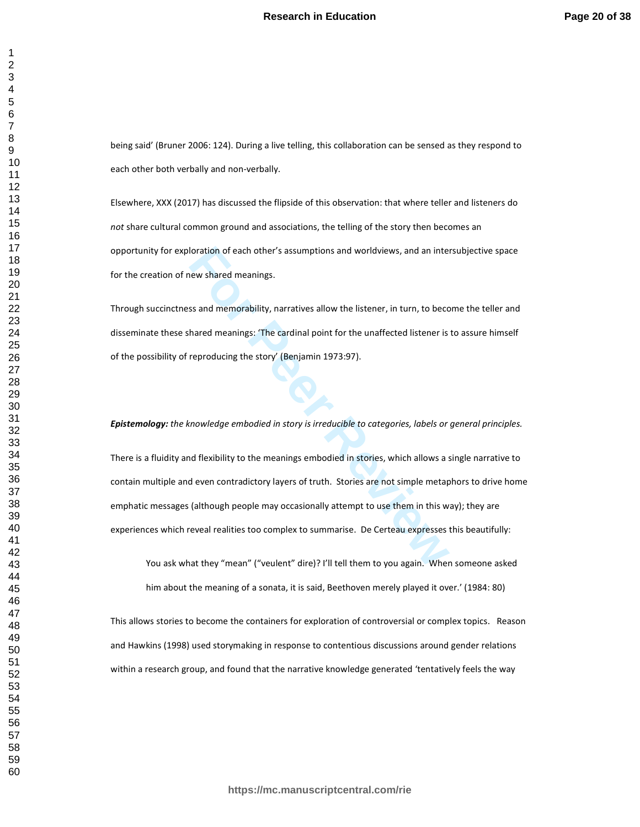being said' (Bruner 2006: 124). During a live telling, this collaboration can be sensed as they respond to each other both verbally and non-verbally.

Elsewhere, XXX (2017) has discussed the flipside of this observation: that where teller and listeners do *not* share cultural common ground and associations, the telling of the story then becomes an opportunity for exploration of each other's assumptions and worldviews, and an intersubjective space for the creation of new shared meanings.

Through succinctness and memorability, narratives allow the listener, in turn, to become the teller and disseminate these shared meanings: 'The cardinal point for the unaffected listener is to assure himself of the possibility of reproducing the story' (Benjamin 1973:97).

*Epistemology: the knowledge embodied in story is irreducible to categories, labels or general principles.* 

Ioration of each other's assumptions and worldviews, and an inter<br> **FREMALE TO EVALUAT EVALUAT EVALUAT EVALUAT EVALUAT THE CONDUCT THE CONDUCT**<br> **FORMALE THE EXECUTE CONDUCT**<br> **FEET THE CALUAT EXECUTE IS THE CONDUCT AND AS** There is a fluidity and flexibility to the meanings embodied in stories, which allows a single narrative to contain multiple and even contradictory layers of truth. Stories are not simple metaphors to drive home emphatic messages (although people may occasionally attempt to use them in this way); they are experiences which reveal realities too complex to summarise. De Certeau expresses this beautifully:

You ask what they "mean" ("veulent" dire)? I'll tell them to you again. When someone asked him about the meaning of a sonata, it is said, Beethoven merely played it over.' (1984: 80)

This allows stories to become the containers for exploration of controversial or complex topics. Reason and Hawkins (1998) used storymaking in response to contentious discussions around gender relations within a research group, and found that the narrative knowledge generated 'tentatively feels the way

 $\mathbf{1}$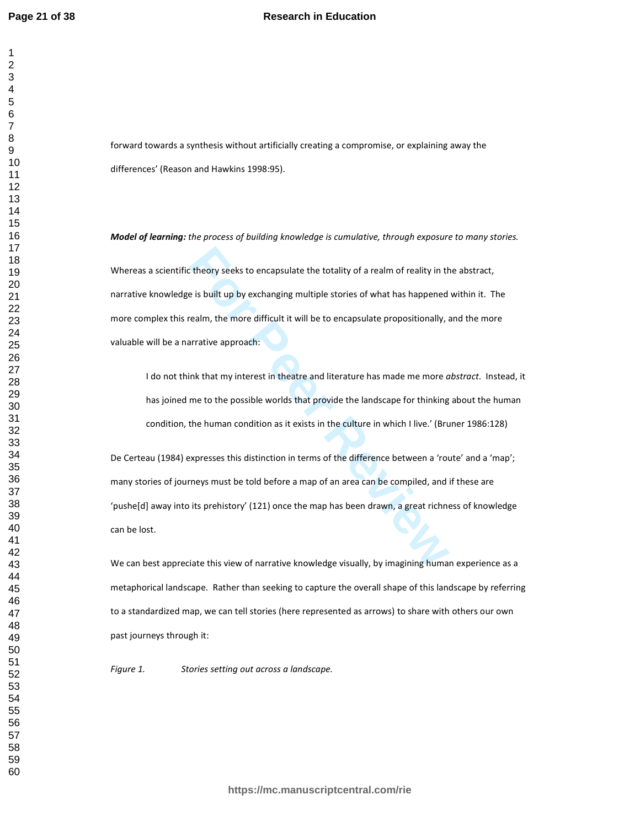# **Research in Education**

forward towards a synthesis without artificially creating a compromise, or explaining away the differences' (Reason and Hawkins 1998:95).

Example is built up by exchanging multiple stories of what has happened<br>
For Peelity in the is built up by exchanging multiple stories of what has happened<br>
For Peelity and the more difficult it will be to encapsulate prop *Model of learning: the process of building knowledge is cumulative, through exposure to many stories.* Whereas a scientific theory seeks to encapsulate the totality of a realm of reality in the abstract, narrative knowledge is built up by exchanging multiple stories of what has happened within it. The more complex this realm, the more difficult it will be to encapsulate propositionally, and the more valuable will be a narrative approach:

I do not think that my interest in theatre and literature has made me more *abstract*. Instead, it has joined me to the possible worlds that provide the landscape for thinking about the human condition, the human condition as it exists in the culture in which I live.' (Bruner 1986:128)

De Certeau (1984) expresses this distinction in terms of the difference between a 'route' and a 'map'; many stories of journeys must be told before a map of an area can be compiled, and if these are 'pushe[d] away into its prehistory' (121) once the map has been drawn, a great richness of knowledge can be lost.

We can best appreciate this view of narrative knowledge visually, by imagining human experience as a metaphorical landscape. Rather than seeking to capture the overall shape of this landscape by referring to a standardized map, we can tell stories (here represented as arrows) to share with others our own past journeys through it:

*Figure 1. Stories setting out across a landscape.*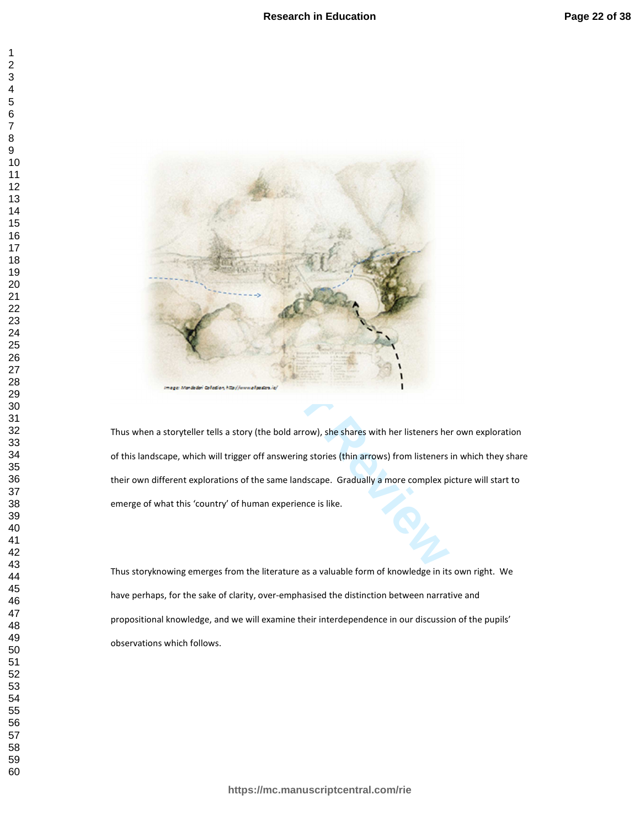



Thus when a storyteller tells a story (the bold arrow), she shares with her listeners her own exploration of this landscape, which will trigger off answering stories (thin arrows) from listeners in which they share their own different explorations of the same landscape. Gradually a more complex picture will start to emerge of what this 'country' of human experience is like.

Thus storyknowing emerges from the literature as a valuable form of knowledge in its own right. We have perhaps, for the sake of clarity, over-emphasised the distinction between narrative and propositional knowledge, and we will examine their interdependence in our discussion of the pupils' observations which follows.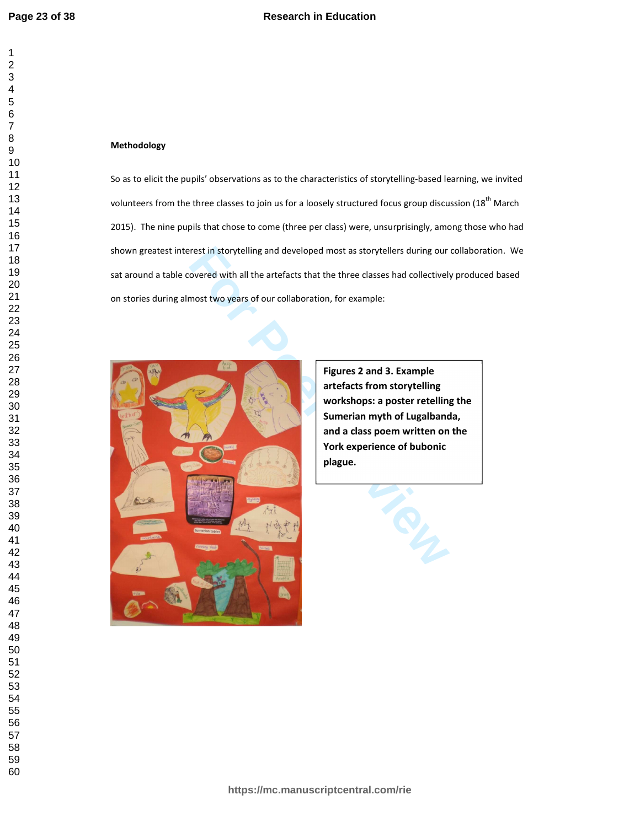$\mathbf{1}$  $\overline{2}$  $\overline{\mathbf{4}}$ 

## **Methodology**

So as to elicit the pupils' observations as to the characteristics of storytelling-based learning, we invited volunteers from the three classes to join us for a loosely structured focus group discussion (18<sup>th</sup> March 2015). The nine pupils that chose to come (three per class) were, unsurprisingly, among those who had shown greatest interest in storytelling and developed most as storytellers during our collaboration. We sat around a table covered with all the artefacts that the three classes had collectively produced based on stories during almost two years of our collaboration, for example:



**Figure s 2 and 3 . Example artefacts from storytelling workshops: a poster retelling the Sumerian myth of Lugalbanda, and a class poem written on the York experience of bubonic plague.**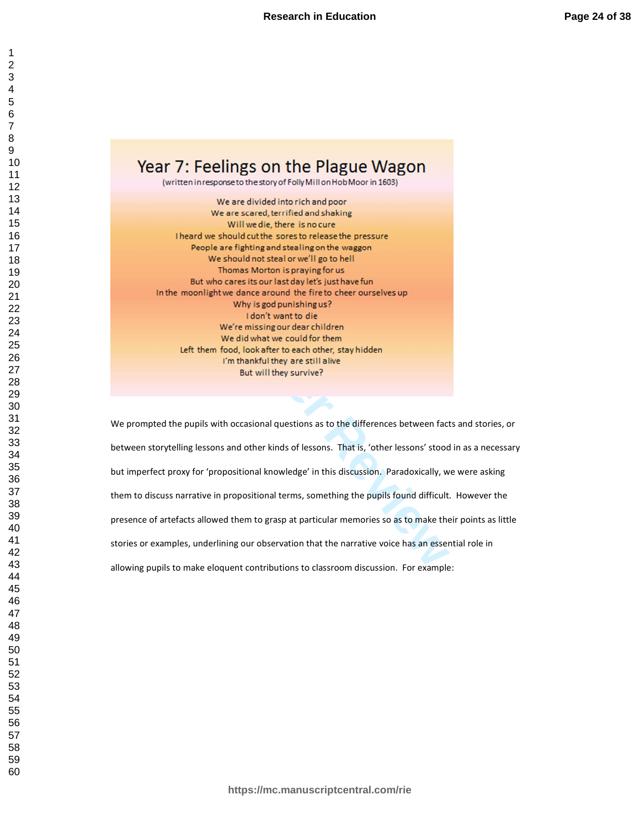# Year 7: Feelings on the Plague Wagon

(written in response to the story of Folly Mill on Hob Moor in 1603)

We are divided into rich and poor We are scared, terrified and shaking Will we die, there is no cure I heard we should cut the sores to release the pressure

**For the vertual standary on the wagger of the standard of steal of standard in the valuation of spraying for us<br>But who cares its our last day let's just have fun<br>Summight we date carous the first to theer other ourselves** We prompted the pupils with occasional questions as to the differences between facts and stories, or between storytelling lessons and other kinds of lessons. That is, 'other lessons' stood in as a necessary but imperfect proxy for 'propositional knowledge' in this discussion. Paradoxically, we were asking them to discuss narrative in propositional terms, something the pupils found difficult. However the presence of artefacts allowed them to grasp at particular memories so as to make their points as little stories or examples, underlining our observation that the narrative voice has an essential role in allowing pupils to make eloquent contributions to classroom discussion. For example: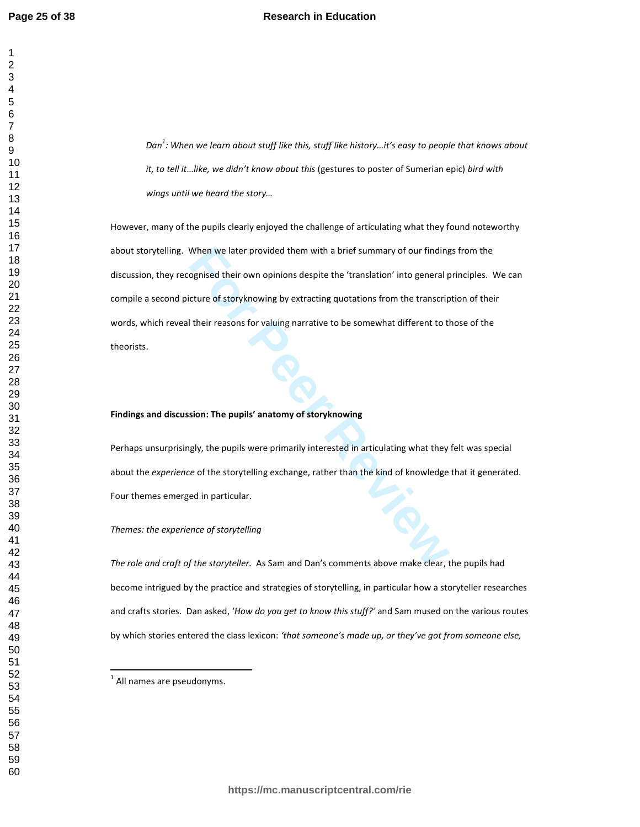# **Research in Education**

*Dan 1 : When we learn about stuff like this, stuff like history…it's easy to people that knows about it, to tell it…like, we didn't know about this* (gestures to poster of Sumerian epic) *bird with wings until we heard the story…* 

When we later provided them with a brief summary of our finding<br>ognised their own opinions despite the 'translation' into general p<br>cture of storyknowing by extracting quotations from the transcrip<br>I their reasons for valu However, many of the pupils clearly enjoyed the challenge of articulating what they found noteworthy about storytelling. When we later provided them with a brief summary of our findings from the discussion, they recognised their own opinions despite the 'translation' into general principles. We can compile a second picture of storyknowing by extracting quotations from the transcription of their words, which reveal their reasons for valuing narrative to be somewhat different to those of the theorists.

# **Findings and discussion: The pupils' anatomy of storyknowing**

Perhaps unsurprisingly, the pupils were primarily interested in articulating what they felt was special about the *experience* of the storytelling exchange, rather than the kind of knowledge that it generated. Four themes emerged in particular.

#### *Themes: the experience of storytelling*

*The role and craft of the storyteller.* As Sam and Dan's comments above make clear, the pupils had become intrigued by the practice and strategies of storytelling, in particular how a storyteller researches and crafts stories. Dan asked, '*How do you get to know this stuff?'* and Sam mused on the various routes by which stories entered the class lexicon: *'that someone's made up, or they've got from someone else,* 

l

 $<sup>1</sup>$  All names are pseudonyms.</sup>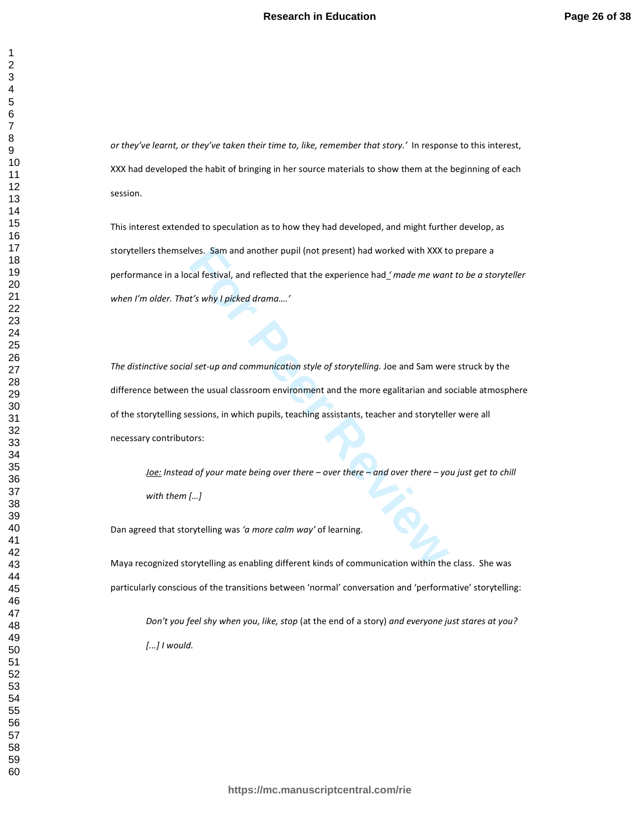*or they've learnt, or they've taken their time to, like, remember that story.'* In response to this interest, XXX had developed the habit of bringing in her source materials to show them at the beginning of each session.

This interest extended to speculation as to how they had developed, and might further develop, as storytellers themselves. Sam and another pupil (not present) had worked with XXX to prepare a performance in a local festival, and reflected that the experience had *' made me want to be a storyteller when I'm older. That's why I picked drama….'* 

ves. Sam and another pupil (not present) had worked with XXX to<br>cal festival, and reflected that the experience had\_'*made me wan*<br>t's why l picked drama....'<br>Il set-up and communication style of storytelling. Joe and Sam *The distinctive social set-up and communication style of storytelling.* Joe and Sam were struck by the difference between the usual classroom environment and the more egalitarian and sociable atmosphere of the storytelling sessions, in which pupils, teaching assistants, teacher and storyteller were all necessary contributors:

*Joe: Instead of your mate being over there – over there – and over there – you just get to chill with them […]* 

Dan agreed that storytelling was *'a more calm way'* of learning.

Maya recognized storytelling as enabling different kinds of communication within the class. She was particularly conscious of the transitions between 'normal' conversation and 'performative' storytelling:

*Don't you feel shy when you, like, stop* (at the end of a story) *and everyone just stares at you? [...] I would.*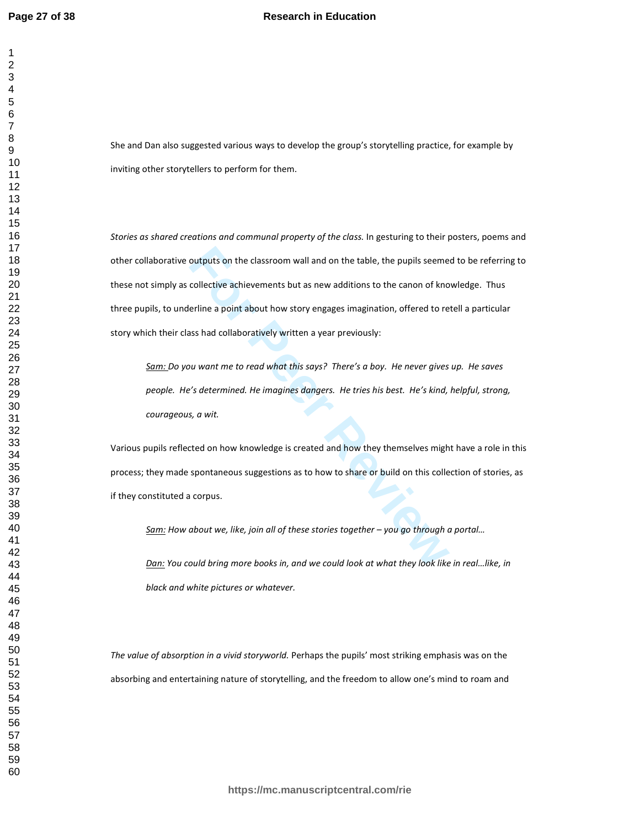$\mathbf{1}$  $\overline{2}$ 

# **Research in Education**

She and Dan also suggested various ways to develop the group's storytelling practice, for example by inviting other storytellers to perform for them.

outputs on the classroom wall and on the table, the pupils seeme<br>collective achievements but as new additions to the canon of kno<br>erline a point about how story engages imagination, offered to re<br>sss had collaboratively wr *Stories as shared creations and communal property of the class.* In gesturing to their posters, poems and other collaborative outputs on the classroom wall and on the table, the pupils seemed to be referring to these not simply as collective achievements but as new additions to the canon of knowledge. Thus three pupils, to underline a point about how story engages imagination, offered to retell a particular story which their class had collaboratively written a year previously:

*Sam: Do you want me to read what this says? There's a boy. He never gives up. He saves people. He's determined. He imagines dangers. He tries his best. He's kind, helpful, strong, courageous, a wit.*

Various pupils reflected on how knowledge is created and how they themselves might have a role in this process; they made spontaneous suggestions as to how to share or build on this collection of stories, as if they constituted a corpus.

*Sam: How about we, like, join all of these stories together – you go through a portal…* 

*Dan: You could bring more books in, and we could look at what they look like in real…like, in black and white pictures or whatever.*

*The value of absorption in a vivid storyworld.* Perhaps the pupils' most striking emphasis was on the absorbing and entertaining nature of storytelling, and the freedom to allow one's mind to roam and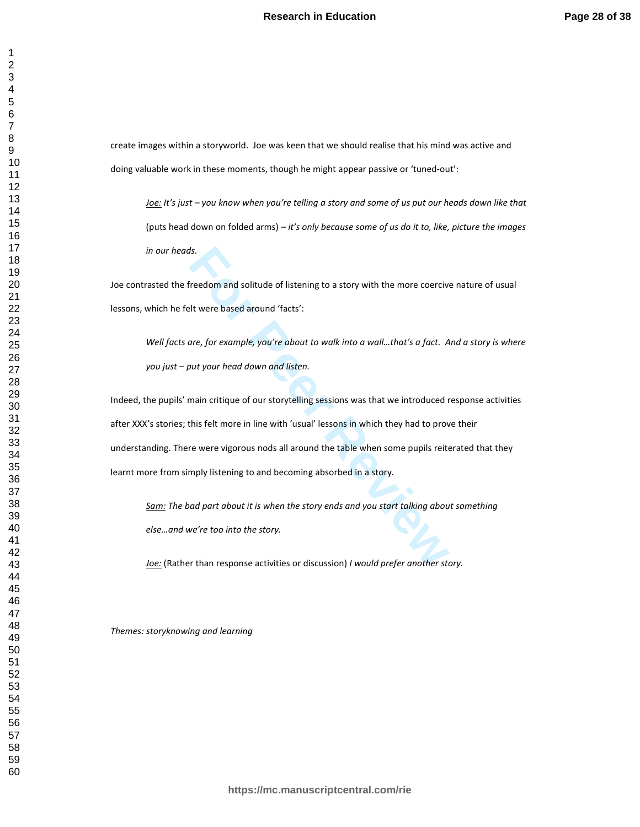create images within a storyworld. Joe was keen that we should realise that his mind was active and doing valuable work in these moments, though he might appear passive or 'tuned-out':

*Joe: It's just – you know when you're telling a story and some of us put our heads down like that*  (puts head down on folded arms) *– it's only because some of us do it to, like, picture the images in our heads.* 

Joe contrasted the freedom and solitude of listening to a story with the more coercive nature of usual lessons, which he felt were based around 'facts':

*Well facts are, for example, you're about to walk into a wall…that's a fact. And a story is where you just – put your head down and listen.* 

*Formalies and solitude of listening to a story with the more coercive*<br> *Formalisty* the more coercive<br> *Formalisty Formalie, you're about to walk into a wall...that's a fact. A<br>
<i>Aut your head down and listen.*<br>
The ma Indeed, the pupils' main critique of our storytelling sessions was that we introduced response activities after XXX's stories; this felt more in line with 'usual' lessons in which they had to prove their understanding. There were vigorous nods all around the table when some pupils reiterated that they learnt more from simply listening to and becoming absorbed in a story.

*Sam: The bad part about it is when the story ends and you start talking about something else…and we're too into the story.* 

*Joe:* (Rather than response activities or discussion) *I would prefer another story.* 

*Themes: storyknowing and learning* 

 $\mathbf{1}$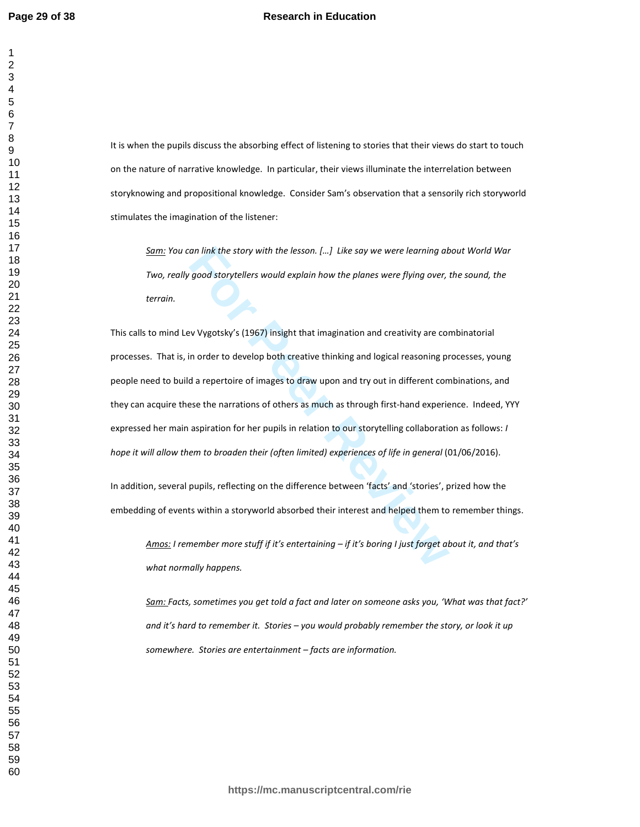It is when the pupils discuss the absorbing effect of listening to stories that their views do start to touch on the nature of narrative knowledge. In particular, their views illuminate the interrelation between storyknowing and propositional knowledge. Consider Sam's observation that a sensorily rich storyworld stimulates the imagination of the listener:

*Sam: You can link the story with the lesson. […] Like say we were learning about World War Two, really good storytellers would explain how the planes were flying over, the sound, the terrain.* 

an link the story with the lesson. [...] Like say we were learning ab<br>good storytellers would explain how the planes were flying over, i<br>good storytellers would explain how the planes were flying over, i<br>ev Vygotsky's (196 This calls to mind Lev Vygotsky's (1967) insight that imagination and creativity are combinatorial processes. That is, in order to develop both creative thinking and logical reasoning processes, young people need to build a repertoire of images to draw upon and try out in different combinations, and they can acquire these the narrations of others as much as through first-hand experience. Indeed, YYY expressed her main aspiration for her pupils in relation to our storytelling collaboration as follows: *I*  hope it will allow them to broaden their (often limited) experiences of life in general (01/06/2016).

In addition, several pupils, reflecting on the difference between 'facts' and 'stories', prized how the embedding of events within a storyworld absorbed their interest and helped them to remember things.

*Amos: I remember more stuff if it's entertaining – if it's boring I just forget about it, and that's what normally happens.* 

*Sam: Facts, sometimes you get told a fact and later on someone asks you, 'What was that fact?' and it's hard to remember it. Stories – you would probably remember the story, or look it up somewhere. Stories are entertainment – facts are information.* 

**https://mc.manuscriptcentral.com/rie**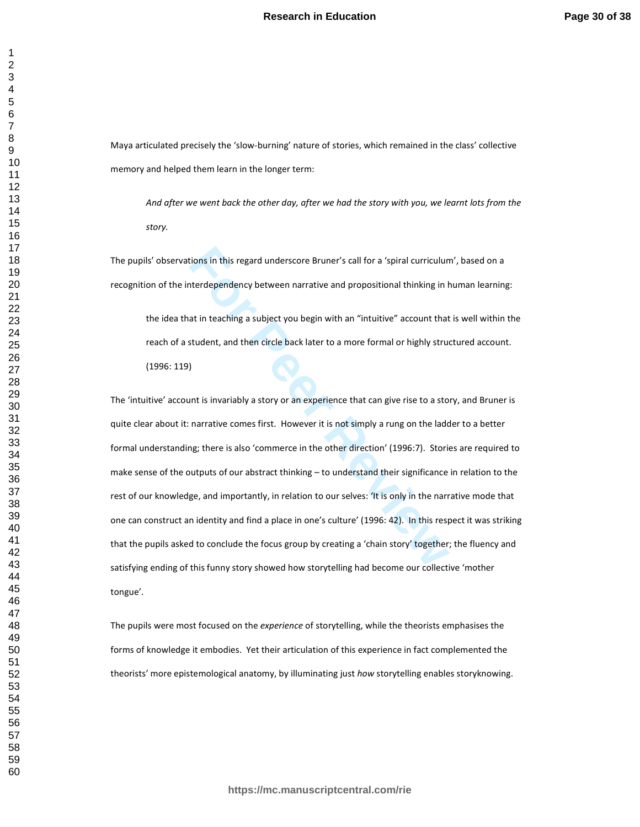Maya articulated precisely the 'slow-burning' nature of stories, which remained in the class' collective memory and helped them learn in the longer term:

*And after we went back the other day, after we had the story with you, we learnt lots from the story.*

The pupils' observations in this regard underscore Bruner's call for a 'spiral curriculum', based on a recognition of the interdependency between narrative and propositional thinking in human learning:

the idea that in teaching a subject you begin with an "intuitive" account that is well within the reach of a student, and then circle back later to a more formal or highly structured account. (1996: 119)

**Fourthallation** is this regard underscore Bruner's call for a 'spiral curriculunt<br> **For Peer Alter Alter Convertsion** is a propositional thinking in that<br> **For Peer Alter Alter Alter Alter Alter Alter Alter Alter Alter Al** The 'intuitive' account is invariably a story or an experience that can give rise to a story, and Bruner is quite clear about it: narrative comes first. However it is not simply a rung on the ladder to a better formal understanding; there is also 'commerce in the other direction' (1996:7). Stories are required to make sense of the outputs of our abstract thinking – to understand their significance in relation to the rest of our knowledge, and importantly, in relation to our selves: 'It is only in the narrative mode that one can construct an identity and find a place in one's culture' (1996: 42). In this respect it was striking that the pupils asked to conclude the focus group by creating a 'chain story' together; the fluency and satisfying ending of this funny story showed how storytelling had become our collective 'mother tongue'.

The pupils were most focused on the *experience* of storytelling, while the theorists emphasises the forms of knowledge it embodies. Yet their articulation of this experience in fact complemented the theorists' more epistemological anatomy, by illuminating just *how* storytelling enables storyknowing.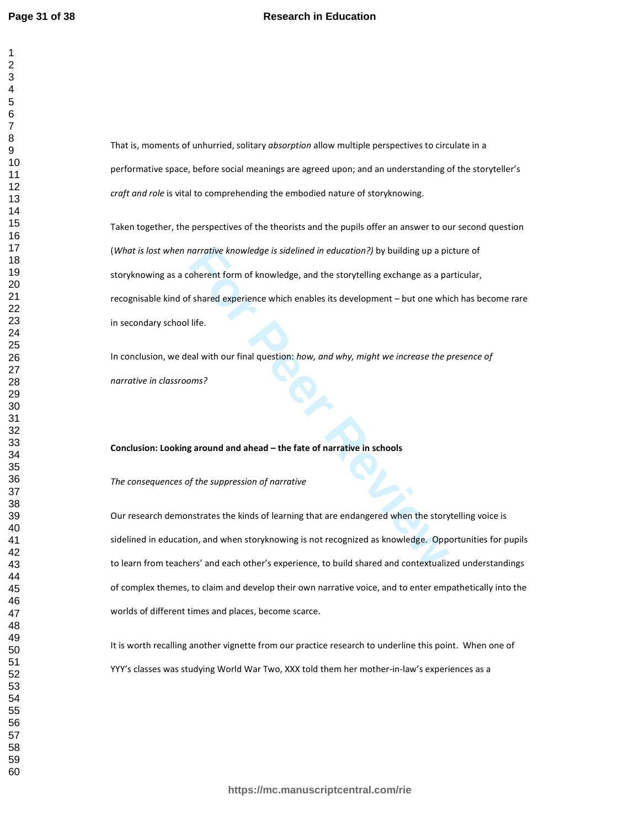# **Research in Education**

That is, moments of unhurried, solitary *absorption* allow multiple perspectives to circulate in a performative space, before social meanings are agreed upon; and an understanding of the storyteller's *craft and role* is vital to comprehending the embodied nature of storyknowing.

narrative knowledge is sidelined in education?) by building up a pid<br>oherent form of knowledge, and the storytelling exchange as a pa<br>f shared experience which enables its development – but one whi<br>life.<br>Pape with our fina Taken together, the perspectives of the theorists and the pupils offer an answer to our second question<br>(*What is lost when narrative knowledge is sidelined in education?*) by building up a picture of storyknowing as a coherent form of knowledge, and the storytelling exchange as a particular, recognisable kind of shared experience which enables its development – but one which has become rare in secondary school life.

In conclusion, we deal with our final question: *how, and why, might we increase the presence of narrative in classrooms?*

## **Conclusion: Looking around and ahead – the fate of narrative in schools**

#### *The consequences of the suppression of narrative*

Our research demonstrates the kinds of learning that are endangered when the storytelling voice is sidelined in education, and when storyknowing is not recognized as knowledge. Opportunities for pupils to learn from teachers' and each other's experience, to build shared and contextualized understandings of complex themes, to claim and develop their own narrative voice, and to enter empathetically into the worlds of different times and places, become scarce .

It is worth recalling another vignette from our practice research to underline this point. When one of YYY's classes was studying World War Two, XXX told them her mother-in-law's experiences as a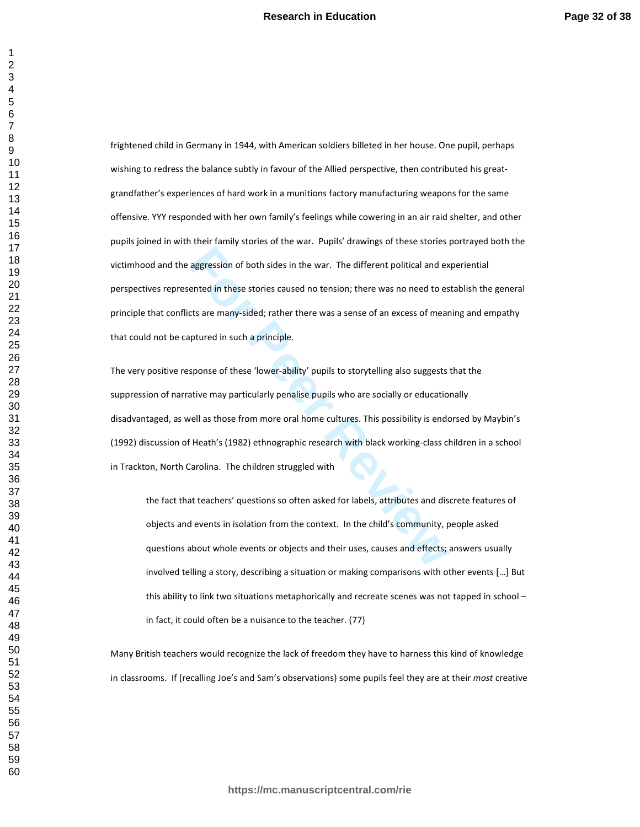frightened child in Germany in 1944, with American soldiers billeted in her house. One pupil, perhaps wishing to redress the balance subtly in favour of the Allied perspective, then contributed his greatgrandfather's experiences of hard work in a munitions factory manufacturing weapons for the same offensive. YYY responded with her own family's feelings while cowering in an air raid shelter, and other pupils joined in with their family stories of the war. Pupils' drawings of these stories portrayed both the victimhood and the aggression of both sides in the war. The different political and experiential perspectives represented in these stories caused no tension; there was no need to establish the general principle that conflicts are many-sided; rather there was a sense of an excess of meaning and empathy that could not be captured in such a principle.

aggression of both sides in the war. The different political and exented in these stories caused no tension; there was no need to es<br>est are many-sided; rather there was a sense of an excess of mear<br>ptured in such a princi The very positive response of these 'lower-ability' pupils to storytelling also suggests that the suppression of narrative may particularly penalise pupils who are socially or educationally disadvantaged, as well as those from more oral home cultures. This possibility is endorsed by Maybin's (1992) discussion of Heath's (1982) ethnographic research with black working-class children in a school in Trackton, North Carolina. The children struggled with

the fact that teachers' questions so often asked for labels, attributes and discrete features of objects and events in isolation from the context. In the child's community, people asked questions about whole events or objects and their uses, causes and effects; answers usually involved telling a story, describing a situation or making comparisons with other events […] But this ability to link two situations metaphorically and recreate scenes was not tapped in school – in fact, it could often be a nuisance to the teacher. (77)

Many British teachers would recognize the lack of freedom they have to harness this kind of knowledge in classrooms. If (recalling Joe's and Sam's observations) some pupils feel they are at their *most* creative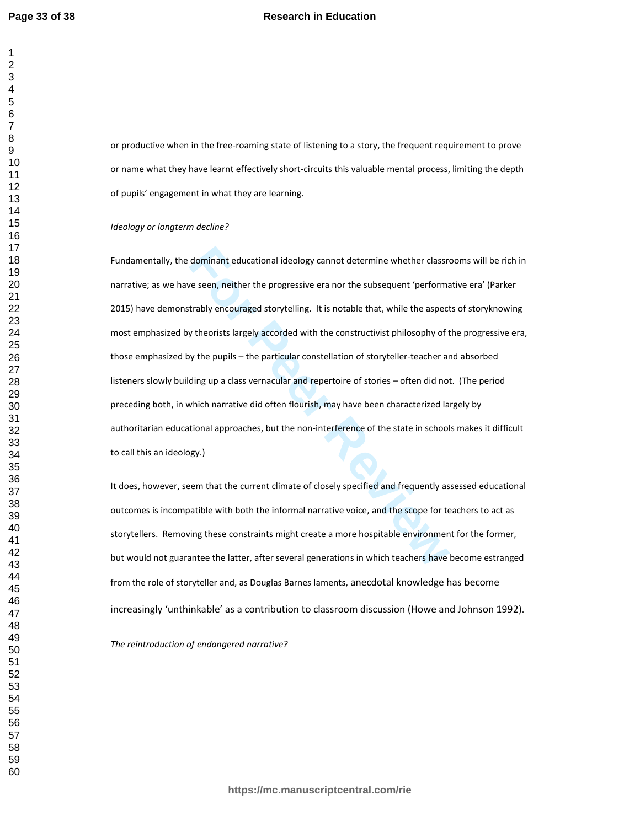or productive when in the free-roaming state of listening to a story, the frequent requirement to prove or name what they have learnt effectively short-circuits this valuable mental process, limiting the depth of pupils' engagement in what they are learning.

#### *Ideology or longterm decline?*

dominant educational ideology cannot determine whether class<br>
re seen, neither the progressive era nor the subsequent 'performatrably encouraged storytelling. It is notable that, while the aspect<br>
or theorists largely acco Fundamentally, the dominant educational ideology cannot determine whether classrooms will be rich in narrative; as we have seen, neither the progressive era nor the subsequent 'performative era' (Parker 2015) have demonstrably encouraged storytelling. It is notable that, while the aspects of storyknowing most emphasized by theorists largely accorded with the constructivist philosophy of the progressive era, those emphasized by the pupils – the particular constellation of storyteller-teacher and absorbed listeners slowly building up a class vernacular and repertoire of stories – often did not. (The period preceding both, in which narrative did often flourish, may have been characterized largely by authoritarian educational approaches, but the non-interference of the state in schools makes it difficult to call this an ideology.)

It does, however, seem that the current climate of closely specified and frequently assessed educational outcomes is incompatible with both the informal narrative voice, and the scope for teachers to act as storytellers. Removing these constraints might create a more hospitable environment for the former, but would not guarantee the latter, after several generations in which teachers have become estranged from the role of storyteller and, as Douglas Barnes laments, anecdotal knowledge has become increasingly 'unthinkable' as a contribution to classroom discussion (Howe and Johnson 1992).

*The reintroduction of endangered narrative?*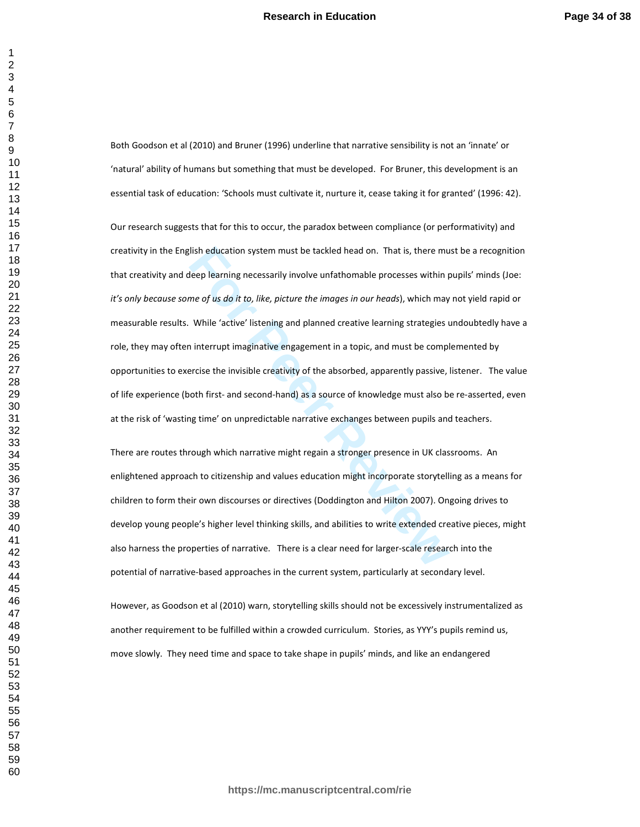Both Goodson et al (2010) and Bruner (1996) underline that narrative sensibility is not an 'innate' or 'natural' ability of humans but something that must be developed. For Bruner, this development is an essential task of education: 'Schools must cultivate it, nurture it, cease taking it for granted' (1996: 42).

lish education system must be tackled head on. That is, there must<br>leep learning necessarily involve unfathomable processes within pre of us do it to, like, picture the images in our heads), which may<br>While 'active' listen Our research suggests that for this to occur, the paradox between compliance (or performativity) and creativity in the English education system must be tackled head on. That is, there must be a recognition that creativity and deep learning necessarily involve unfathomable processes within pupils' minds (Joe: *it's only because some of us do it to, like, picture the images in our heads*), which may not yield rapid or measurable results. While 'active' listening and planned creative learning strategies undoubtedly have a role, they may often interrupt imaginative engagement in a topic, and must be complemented by opportunities to exercise the invisible creativity of the absorbed, apparently passive, listener. The value of life experience (both first- and second-hand) as a source of knowledge must also be re-asserted, even at the risk of 'wasting time' on unpredictable narrative exchanges between pupils and teachers.

There are routes through which narrative might regain a stronger presence in UK classrooms. An enlightened approach to citizenship and values education might incorporate storytelling as a means for children to form their own discourses or directives (Doddington and Hilton 2007). Ongoing drives to develop young people's higher level thinking skills, and abilities to write extended creative pieces, might also harness the properties of narrative. There is a clear need for larger-scale research into the potential of narrative-based approaches in the current system, particularly at secondary level.

However, as Goodson et al (2010) warn, storytelling skills should not be excessively instrumentalized as another requirement to be fulfilled within a crowded curriculum. Stories, as YYY's pupils remind us, move slowly. They need time and space to take shape in pupils' minds, and like an endangered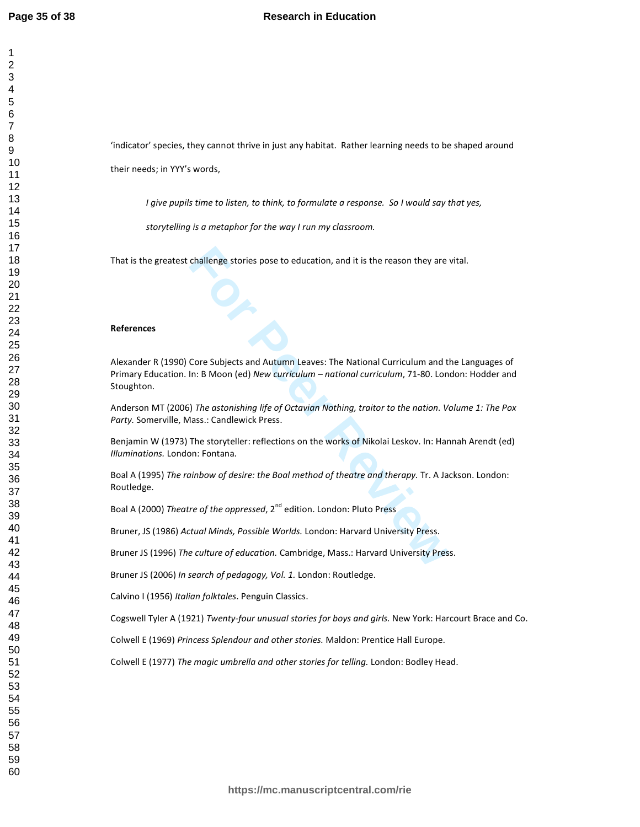'indicator' species, they cannot thrive in just any habitat. Rather learning needs to be shaped around

their needs; in YYY's words,

*I give pupils time to listen, to think, to formulate a response. So I would say that yes,* 

*storytelling is a metaphor for the way I run my classroom.* 

That is the greatest challenge stories pose to education, and it is the reason they are vital.

### **References**

challenge stories pose to education, and it is the reason they are<br>
Core Subjects and Autumn Leaves: The National Curriculum and t<br>
In: B Moon (ed) *New curriculum – national curriculum*, 71-80. Lon<br> *The astonishing life* Alexander R (1990) Core Subjects and Autumn Leaves: The National Curriculum and the Languages of Primary Education. In: B Moon (ed) *New curriculum – national curriculum*, 71-80. London: Hodder and Stoughton.

Anderson MT (2006) *The astonishing life of Octavian Nothing, traitor to the nation. Volume 1: The Pox Party.* Somerville, Mass.: Candlewick Press.

Benjamin W (1973) The storyteller: reflections on the works of Nikolai Leskov. In: Hannah Arendt (ed) *Illuminations.* London: Fontana.

Boal A (1995) *The rainbow of desire: the Boal method of theatre and therapy.* Tr. A Jackson. London: Routledge.

Boal A (2000) *Theatre of the oppressed*, 2<sup>nd</sup> edition. London: Pluto Press

Bruner, JS (1986) *Actual Minds, Possible Worlds.* London: Harvard University Press.

Bruner JS (1996) *The culture of education.* Cambridge, Mass.: Harvard University Press.

Bruner JS (2006) *In search of pedagogy, Vol. 1.* London: Routledge.

Calvino I (1956) *Italian folktales*. Penguin Classics.

Cogswell Tyler A (1921) *Twenty-four unusual stories for boys and girls.* New York: Harcourt Brace and Co.

Colwell E (1969) *Princess Splendour and other stories.* Maldon: Prentice Hall Europe.

Colwell E (1977) *The magic umbrella and other stories for telling.* London: Bodley Head.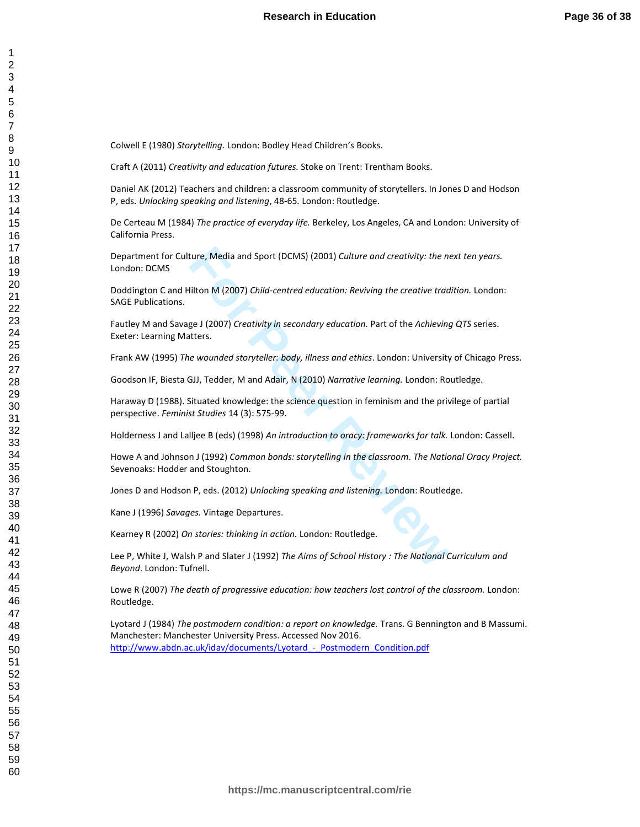Colwell E (1980) *Storytelling.* London: Bodley Head Children's Books.

Craft A (2011) *Creativity and education futures.* Stoke on Trent: Trentham Books.

Daniel AK (2012) Teachers and children: a classroom community of storytellers. In Jones D and Hodson P, eds. *Unlocking speaking and listening*, 48-65 *.* London: Routledge.

De Certeau M (1984) *The practice of everyday life.* Berkeley, Los Angeles, CA and London: University of California Press.

Department for Culture, Media and Sport (DCMS) (2001) *Culture and creativity: the next ten years.* London: DCMS

Doddington C and Hilton M (2007) *Child-centred education: Reviving the creative tradition.* London: SAGE Publications.

Fautley M and Savage J (2007) *Creativity in secondary education.* Part of the *Achieving QTS* series. Exeter: Learning Matters.

Frank AW (1995) *The wounded storyteller: body, illness and ethics*. London: University of Chicago Press.

Goodson IF, Biesta GJJ, Tedder, M and Adair, N (2010) *Narrative learning.* London: Routledge.

ture, Media and Sport (DCMS) (2001) *Culture and creativity: the ne*<br> **Formally Example 2007)** *Creativity in secondary education: Reviving the creative trad*<br> **Formally and the Secure Alter Secure 2014**<br> **Formally and Act** Haraway D (1988). Situated knowledge: the science question in feminism and the privilege of partial perspective. *Feminist Studies* 14 (3): 575-99.

Holderness J and Lalljee B (eds) (1998) *An introduction to oracy: frameworks for talk.* London: Cassell.

Howe A and Johnson J (1992) *Common bonds: storytelling in the classroom* . *The National Oracy Project.*  Sevenoaks: Hodder and Stoughton.

Jones D and Hodson P, eds. (2012) *Unlocking speaking and listening.* London: Routledge.

Kane J (1996) *Savages.* Vintage Departures.

Kearney R (2002) *On stories: thinking in action.* London: Routledge.

Lee P, White J, Walsh P and Slater J (1992) *The Aims of School History : The National Curriculum and Beyond*. London: Tufnell.

Lowe R (2007) *The death of progressive education: how teachers lost control of the classroom.* London: Routledge.

Lyotard J (1984) *The postmodern condition: a report on knowledge.* Trans. G Bennington and B Massumi. Manchester: Manchester University Press. Accessed Nov 2016. http://www.abdn.ac.uk/idav/documents/Lyotard\_-\_Postmodern\_Condition.pdf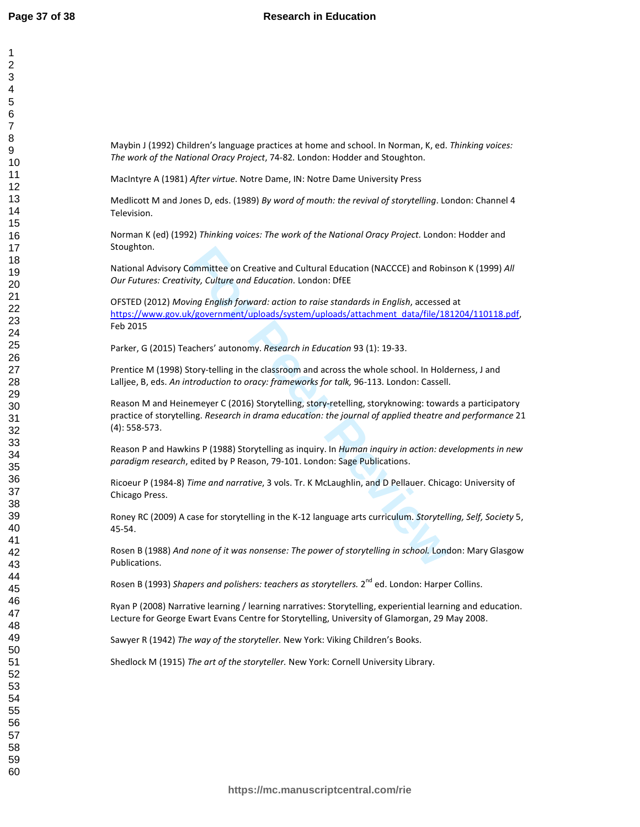Maybin J (1992) Children's language practices at home and school. In Norman, K, ed. *Thinking voices: The work of the National Oracy Project*, 74-82 *.* London: Hodder and Stoughton.

MacIntyre A (1981) *After virtue*. Notre Dame, IN: Notre Dame University Press

Medlicott M and Jones D, eds. (1989) *By word of mouth: the revival of storytelling*. London: Channel 4 Television.

Norman K (ed) (1992) *Thinking voices: The work of the National Oracy Project.* London: Hodder and Stoughton.

National Advisory Committee on Creative and Cultural Education (NACCCE) and Robinson K (1999) *All Our Futures: Creativity, Culture and Education.* London: DfEE

**EXECT THE CONTERT CONTERT CONTERT CONTERT:**<br>Fig. Continue and Education. London: DfEE<br>
Fig. English forward: action to raise standards in English, accessed<br>
<u>Convernment/uploads/system/uploads/attachment</u> data/file/18<br>
Ac OFSTED (2012) *Moving English forward: action to raise standards in English*, accessed at https://www.gov.uk/government/uploads/system/uploads/attachment\_data/file/181204/110118.pdf, Feb 2015

Parker, G (2015) Teachers' autonomy. *Research in Education* 93 (1): 19-33.

Prentice M (1998) Story-telling in the classroom and across the whole school. In Holderness, J and Lalljee, B, eds. *An introduction to oracy: frameworks for talk,* 96-113 *.* London: Cassell.

Reason M and Heinemeyer C (2016) Storytelling, story-retelling, storyknowing: towards a participatory practice of storytelling. *Research in drama education: the journal of applied theatre and performance* 21 (4): 558-573.

Reason P and Hawkins P (1988) Storytelling as inquiry. In *Human inquiry in action: developments in new paradigm research*, edited by P Reason, 79-101. London: Sage Publications.

Ricoeur P (1984-8) *Time and narrative*, 3 vols. Tr. K McLaughlin, and D Pellauer. Chicago: University of Chicago Press.

Roney RC (2009) A case for storytelling in the K-12 language arts curriculum. *Storytelling, Self, Society* 5, 45-54.

Rosen B (1988) *And none of it was nonsense: The power of storytelling in school.* London: Mary Glasgow Publications.

Rosen B (1993) *Shapers and polishers: teachers as storytellers.* 2<sup>nd</sup> ed. London: Harper Collins.

Ryan P (2008) Narrative learning / learning narratives: Storytelling, experiential learning and education. Lecture for George Ewart Evans Centre for Storytelling, University of Glamorgan, 29 May 2008.

Sawyer R (1942) *The way of the storyteller.* New York: Viking Children's Books.

Shedlock M (1915) *The art of the storyteller.* New York: Cornell University Library.